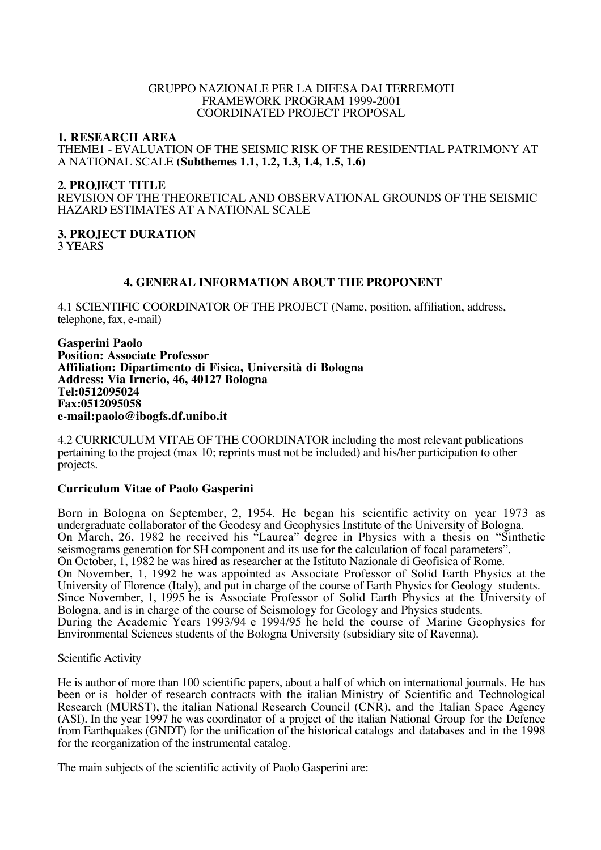#### GRUPPO NAZIONALE PER LA DIFESA DAI TERREMOTI FRAMEWORK PROGRAM 1999-2001 COORDINATED PROJECT PROPOSAL

#### **1. RESEARCH AREA**

THEME1 - EVALUATION OF THE SEISMIC RISK OF THE RESIDENTIAL PATRIMONY AT A NATIONAL SCALE **(Subthemes 1.1, 1.2, 1.3, 1.4, 1.5, 1.6)**

#### **2. PROJECT TITLE**

REVISION OF THE THEORETICAL AND OBSERVATIONAL GROUNDS OF THE SEISMIC HAZARD ESTIMATES AT A NATIONAL SCALE

#### **3. PROJECT DURATION**

3 YEARS

### **4. GENERAL INFORMATION ABOUT THE PROPONENT**

4.1 SCIENTIFIC COORDINATOR OF THE PROJECT (Name, position, affiliation, address, telephone, fax, e-mail)

**Gasperini Paolo Position: Associate Professor Affiliation: Dipartimento di Fisica, Università di Bologna Address: Via Irnerio, 46, 40127 Bologna Tel:0512095024 Fax:0512095058 e-mail:paolo@ibogfs.df.unibo.it**

4.2 CURRICULUM VITAE OF THE COORDINATOR including the most relevant publications pertaining to the project (max 10; reprints must not be included) and his/her participation to other projects.

#### **Curriculum Vitae of Paolo Gasperini**

Born in Bologna on September, 2, 1954. He began his scientific activity on year 1973 as undergraduate collaborator of the Geodesy and Geophysics Institute of the University of Bologna. On March, 26, 1982 he received his "Laurea" degree in Physics with a thesis on "Sinthetic seismograms generation for SH component and its use for the calculation of focal parameters". On October, 1, 1982 he was hired as researcher at the Istituto Nazionale di Geofisica of Rome. On November, 1, 1992 he was appointed as Associate Professor of Solid Earth Physics at the University of Florence (Italy), and put in charge of the course of Earth Physics for Geology students. Since November, 1, 1995 he is Associate Professor of Solid Earth Physics at the University of Bologna, and is in charge of the course of Seismology for Geology and Physics students. During the Academic Years 1993/94 e 1994/95 he held the course of Marine Geophysics for Environmental Sciences students of the Bologna University (subsidiary site of Ravenna).

#### Scientific Activity

He is author of more than 100 scientific papers, about a half of which on international journals. He has been or is holder of research contracts with the italian Ministry of Scientific and Technological Research (MURST), the italian National Research Council (CNR), and the Italian Space Agency (ASI). In the year 1997 he was coordinator of a project of the italian National Group for the Defence from Earthquakes (GNDT) for the unification of the historical catalogs and databases and in the 1998 for the reorganization of the instrumental catalog.

The main subjects of the scientific activity of Paolo Gasperini are: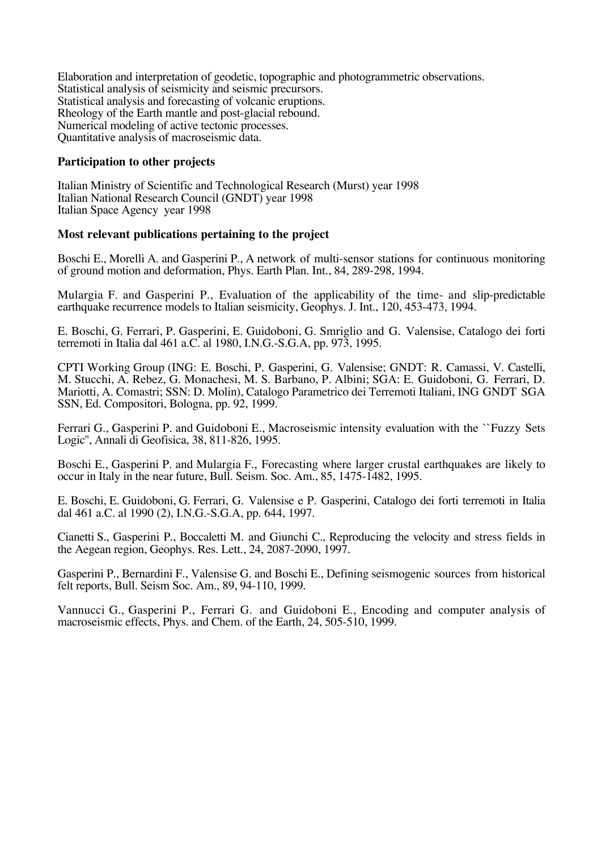Elaboration and interpretation of geodetic, topographic and photogrammetric observations. Statistical analysis of seismicity and seismic precursors. Statistical analysis and forecasting of volcanic eruptions. Rheology of the Earth mantle and post-glacial rebound. Numerical modeling of active tectonic processes. Quantitative analysis of macroseismic data.

### **Participation to other projects**

Italian Ministry of Scientific and Technological Research (Murst) year 1998 Italian National Research Council (GNDT) year 1998 Italian Space Agency year 1998

### **Most relevant publications pertaining to the project**

Boschi E., Morelli A. and Gasperini P., A network of multi-sensor stations for continuous monitoring of ground motion and deformation, Phys. Earth Plan. Int., 84, 289-298, 1994.

Mulargia F. and Gasperini P., Evaluation of the applicability of the time- and slip-predictable earthquake recurrence models to Italian seismicity, Geophys. J. Int., 120, 453-473, 1994.

E. Boschi, G. Ferrari, P. Gasperini, E. Guidoboni, G. Smriglio and G. Valensise, Catalogo dei forti terremoti in Italia dal 461 a.C. al 1980, I.N.G.-S.G.A, pp. 973, 1995.

CPTI Working Group (ING: E. Boschi, P. Gasperini, G. Valensise; GNDT: R. Camassi, V. Castelli, M. Stucchi, A. Rebez, G. Monachesi, M. S. Barbano, P. Albini; SGA: E. Guidoboni, G. Ferrari, D. Mariotti, A. Comastri; SSN: D. Molin), Catalogo Parametrico dei Terremoti Italiani, ING GNDT SGA SSN, Ed. Compositori, Bologna, pp. 92, 1999.

Ferrari G., Gasperini P. and Guidoboni E., Macroseismic intensity evaluation with the ``Fuzzy Sets Logic'', Annali di Geofisica, 38, 811-826, 1995.

Boschi E., Gasperini P. and Mulargia F., Forecasting where larger crustal earthquakes are likely to occur in Italy in the near future, Bull. Seism. Soc. Am., 85, 1475-1482, 1995.

E. Boschi, E. Guidoboni, G. Ferrari, G. Valensise e P. Gasperini, Catalogo dei forti terremoti in Italia dal 461 a.C. al 1990 (2), I.N.G.-S.G.A, pp. 644, 1997.

Cianetti S., Gasperini P., Boccaletti M. and Giunchi C., Reproducing the velocity and stress fields in the Aegean region, Geophys. Res. Lett., 24, 2087-2090, 1997.

Gasperini P., Bernardini F., Valensise G. and Boschi E., Defining seismogenic sources from historical felt reports, Bull. Seism Soc. Am., 89, 94-110, 1999.

Vannucci G., Gasperini P., Ferrari G. and Guidoboni E., Encoding and computer analysis of macroseismic effects, Phys. and Chem. of the Earth, 24, 505-510, 1999.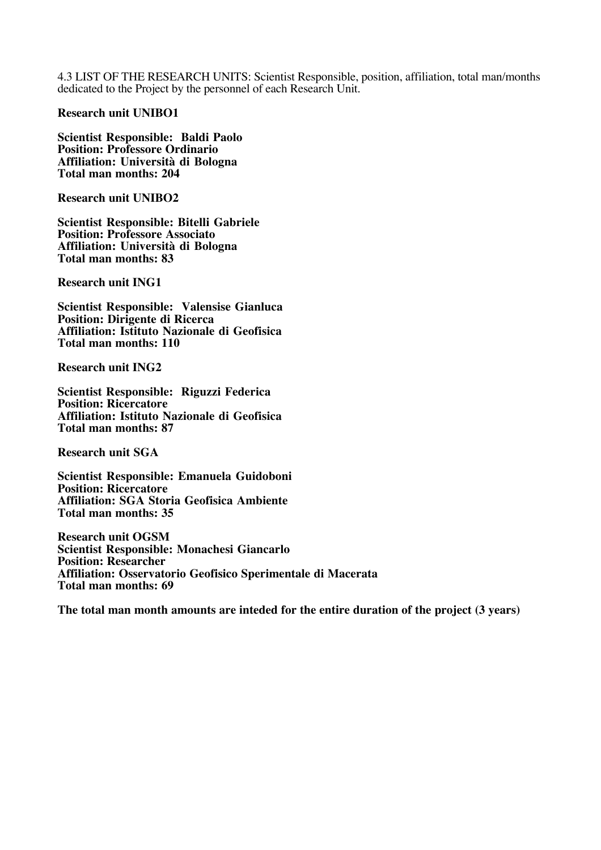4.3 LIST OF THE RESEARCH UNITS: Scientist Responsible, position, affiliation, total man/months dedicated to the Project by the personnel of each Research Unit.

**Research unit UNIBO1**

**Scientist Responsible: Baldi Paolo Position: Professore Ordinario Affiliation: Università di Bologna Total man months: 204**

**Research unit UNIBO2**

**Scientist Responsible: Bitelli Gabriele Position: Professore Associato Affiliation: Università di Bologna Total man months: 83**

**Research unit ING1**

**Scientist Responsible: Valensise Gianluca Position: Dirigente di Ricerca Affiliation: Istituto Nazionale di Geofisica Total man months: 110**

**Research unit ING2**

**Scientist Responsible: Riguzzi Federica Position: Ricercatore Affiliation: Istituto Nazionale di Geofisica Total man months: 87**

**Research unit SGA**

**Scientist Responsible: Emanuela Guidoboni Position: Ricercatore Affiliation: SGA Storia Geofisica Ambiente Total man months: 35**

**Research unit OGSM Scientist Responsible: Monachesi Giancarlo Position: Researcher Affiliation: Osservatorio Geofisico Sperimentale di Macerata Total man months: 69**

**The total man month amounts are inteded for the entire duration of the project (3 years)**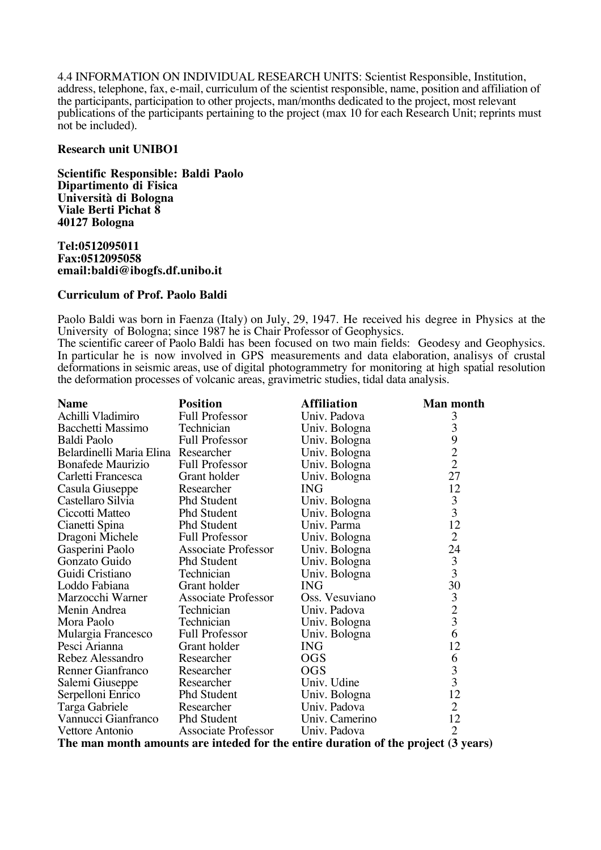4.4 INFORMATION ON INDIVIDUAL RESEARCH UNITS: Scientist Responsible, Institution, address, telephone, fax, e-mail, curriculum of the scientist responsible, name, position and affiliation of the participants, participation to other projects, man/months dedicated to the project, most relevant publications of the participants pertaining to the project (max 10 for each Research Unit; reprints must not be included).

### **Research unit UNIBO1**

**Scientific Responsible: Baldi Paolo Dipartimento di Fisica Università di Bologna Viale Berti Pichat 8 40127 Bologna**

#### **Tel:0512095011 Fax:0512095058 email:baldi@ibogfs.df.unibo.it**

#### **Curriculum of Prof. Paolo Baldi**

Paolo Baldi was born in Faenza (Italy) on July, 29, 1947. He received his degree in Physics at the University of Bologna; since 1987 he is Chair Professor of Geophysics.

The scientific career of Paolo Baldi has been focused on two main fields: Geodesy and Geophysics. In particular he is now involved in GPS measurements and data elaboration, analisys of crustal deformations in seismic areas, use of digital photogrammetry for monitoring at high spatial resolution the deformation processes of volcanic areas, gravimetric studies, tidal data analysis.

| <b>Name</b>                                                                        | <b>Position</b>            | <b>Affiliation</b> | <b>Man month</b>                           |
|------------------------------------------------------------------------------------|----------------------------|--------------------|--------------------------------------------|
| Achilli Vladimiro                                                                  | <b>Full Professor</b>      | Univ. Padova       | 3                                          |
| Bacchetti Massimo                                                                  | Technician                 | Univ. Bologna      | 3                                          |
| Baldi Paolo                                                                        | <b>Full Professor</b>      | Univ. Bologna      | 9                                          |
| Belardinelli Maria Elina Researcher                                                |                            | Univ. Bologna      | $\frac{2}{2}$                              |
| Bonafede Maurizio                                                                  | <b>Full Professor</b>      | Univ. Bologna      |                                            |
| Carletti Francesca                                                                 | Grant holder               | Univ. Bologna      | 27                                         |
| Casula Giuseppe                                                                    | Researcher                 | <b>ING</b>         | 12                                         |
| Castellaro Silvia                                                                  | <b>Phd Student</b>         | Univ. Bologna      | $\frac{3}{3}$                              |
| Ciccotti Matteo                                                                    | <b>Phd Student</b>         | Univ. Bologna      |                                            |
| Cianetti Spina                                                                     | <b>Phd Student</b>         | Univ. Parma        | 12                                         |
| Dragoni Michele                                                                    | <b>Full Professor</b>      | Univ. Bologna      | $\overline{2}$                             |
| Gasperini Paolo                                                                    | <b>Associate Professor</b> | Univ. Bologna      | 24                                         |
| Gonzato Guido                                                                      | <b>Phd Student</b>         | Univ. Bologna      | $\frac{3}{3}$                              |
| Guidi Cristiano                                                                    | Technician                 | Univ. Bologna      |                                            |
| Loddo Fabiana                                                                      | Grant holder               | <b>ING</b>         | 30                                         |
| Marzocchi Warner                                                                   | Associate Professor        | Oss. Vesuviano     |                                            |
| Menin Andrea                                                                       | Technician                 | Univ. Padova       | $\begin{array}{c} 3 \\ 2 \\ 3 \end{array}$ |
| Mora Paolo                                                                         | Technician                 | Univ. Bologna      |                                            |
| Mulargia Francesco                                                                 | <b>Full Professor</b>      | Univ. Bologna      | 6                                          |
| Pesci Arianna                                                                      | Grant holder               | <b>ING</b>         | 12                                         |
| Rebez Alessandro                                                                   | Researcher                 | <b>OGS</b>         |                                            |
| Renner Gianfranco                                                                  | Researcher                 | <b>OGS</b>         | $\frac{6}{3}$                              |
| Salemi Giuseppe                                                                    | Researcher                 | Univ. Udine        |                                            |
| Serpelloni Enrico                                                                  | Phd Student                | Univ. Bologna      | 12                                         |
| Targa Gabriele                                                                     | Researcher                 | Univ. Padova       | $\overline{2}$                             |
| Vannucci Gianfranco                                                                | Phd Student                | Univ. Camerino     | 12                                         |
| Vettore Antonio                                                                    | Associate Professor        | Univ. Padova       | $\overline{2}$                             |
| The man month amounts are inteded for the entire duration of the project (3 years) |                            |                    |                                            |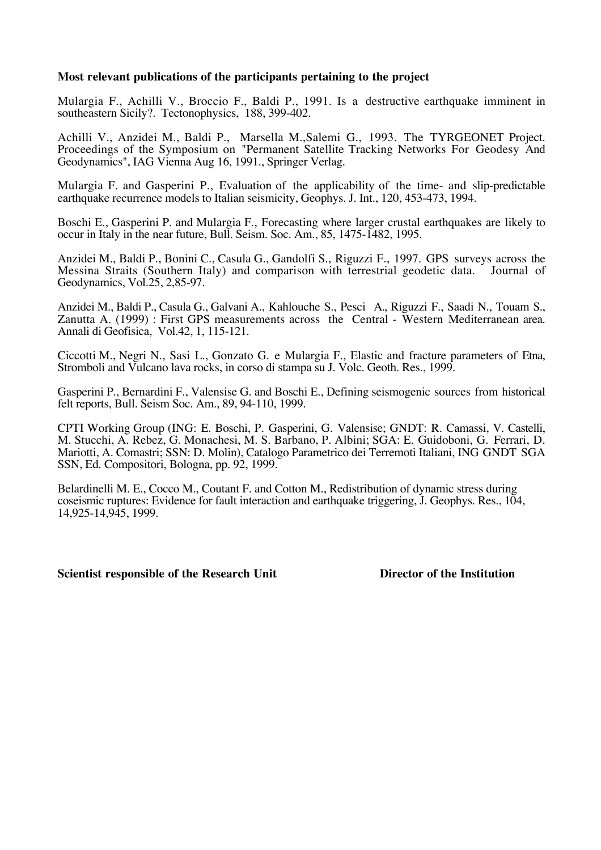Mulargia F., Achilli V., Broccio F., Baldi P., 1991. Is a destructive earthquake imminent in southeastern Sicily?. Tectonophysics, 188, 399-402.

Achilli V., Anzidei M., Baldi P., Marsella M.,Salemi G., 1993. The TYRGEONET Project. Proceedings of the Symposium on "Permanent Satellite Tracking Networks For Geodesy And Geodynamics", IAG Vienna Aug 16, 1991., Springer Verlag.

Mulargia F. and Gasperini P., Evaluation of the applicability of the time- and slip-predictable earthquake recurrence models to Italian seismicity, Geophys. J. Int., 120, 453-473, 1994.

Boschi E., Gasperini P. and Mulargia F., Forecasting where larger crustal earthquakes are likely to occur in Italy in the near future, Bull. Seism. Soc. Am., 85, 1475-1482, 1995.

Anzidei M., Baldi P., Bonini C., Casula G., Gandolfi S., Riguzzi F., 1997. GPS surveys across the Messina Straits (Southern Italy) and comparison with terrestrial geodetic data. Journal of Geodynamics, Vol.25, 2,85-97.

Anzidei M., Baldi P., Casula G., Galvani A., Kahlouche S., Pesci A., Riguzzi F., Saadi N., Touam S., Zanutta A. (1999) : First GPS measurements across the Central - Western Mediterranean area. Annali di Geofisica, Vol.42, 1, 115-121.

Ciccotti M., Negri N., Sasi L., Gonzato G. e Mulargia F., Elastic and fracture parameters of Etna, Stromboli and Vulcano lava rocks, in corso di stampa su J. Volc. Geoth. Res., 1999.

Gasperini P., Bernardini F., Valensise G. and Boschi E., Defining seismogenic sources from historical felt reports, Bull. Seism Soc. Am., 89, 94-110, 1999.

CPTI Working Group (ING: E. Boschi, P. Gasperini, G. Valensise; GNDT: R. Camassi, V. Castelli, M. Stucchi, A. Rebez, G. Monachesi, M. S. Barbano, P. Albini; SGA: E. Guidoboni, G. Ferrari, D. Mariotti, A. Comastri; SSN: D. Molin), Catalogo Parametrico dei Terremoti Italiani, ING GNDT SGA SSN, Ed. Compositori, Bologna, pp. 92, 1999.

Belardinelli M. E., Cocco M., Coutant F. and Cotton M., Redistribution of dynamic stress during coseismic ruptures: Evidence for fault interaction and earthquake triggering, J. Geophys. Res., 104, 14,925-14,945, 1999.

### **Scientist responsible of the Research Unit Director of the Institution**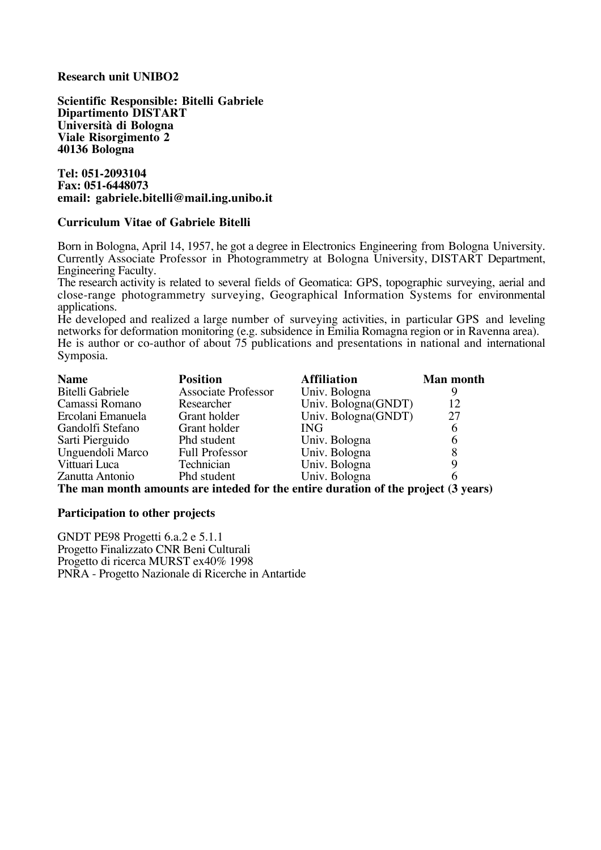#### **Research unit UNIBO2**

**Scientific Responsible: Bitelli Gabriele Dipartimento DISTART Università di Bologna Viale Risorgimento 2 40136 Bologna**

**Tel: 051-2093104 Fax: 051-6448073 email: gabriele.bitelli@mail.ing.unibo.it**

### **Curriculum Vitae of Gabriele Bitelli**

Born in Bologna, April 14, 1957, he got a degree in Electronics Engineering from Bologna University. Currently Associate Professor in Photogrammetry at Bologna University, DISTART Department, Engineering Faculty.

The research activity is related to several fields of Geomatica: GPS, topographic surveying, aerial and close-range photogrammetry surveying, Geographical Information Systems for environmental applications.

He developed and realized a large number of surveying activities, in particular GPS and leveling networks for deformation monitoring (e.g. subsidence in Emilia Romagna region or in Ravenna area). He is author or co-author of about 75 publications and presentations in national and international Symposia.

| <b>Name</b>                                                                        | <b>Position</b>            | <b>Affiliation</b>  | <b>Man month</b> |
|------------------------------------------------------------------------------------|----------------------------|---------------------|------------------|
| <b>Bitelli Gabriele</b>                                                            | <b>Associate Professor</b> | Univ. Bologna       |                  |
| Camassi Romano                                                                     | Researcher                 | Univ. Bologna(GNDT) | 12               |
| Ercolani Emanuela                                                                  | Grant holder               | Univ. Bologna(GNDT) | 27               |
| Gandolfi Stefano                                                                   | Grant holder               | <b>ING</b>          | 6                |
| Sarti Pierguido                                                                    | Phd student                | Univ. Bologna       | 6                |
| Unguendoli Marco                                                                   | <b>Full Professor</b>      | Univ. Bologna       | 8                |
| Vittuari Luca                                                                      | Technician                 | Univ. Bologna       |                  |
| Zanutta Antonio                                                                    | Phd student                | Univ. Bologna       | 6                |
| The man month amounts are inteded for the entire duration of the project (3 years) |                            |                     |                  |

#### **Participation to other projects**

GNDT PE98 Progetti 6.a.2 e 5.1.1 Progetto Finalizzato CNR Beni Culturali Progetto di ricerca MURST ex40% 1998 PNRA - Progetto Nazionale di Ricerche in Antartide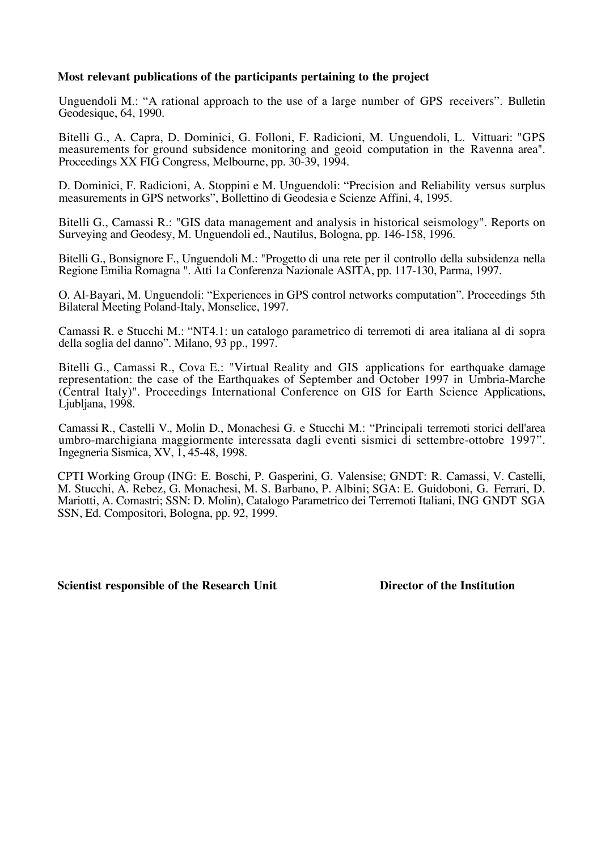Unguendoli M.: "A rational approach to the use of a large number of GPS receivers". Bulletin Geodesique, 64, 1990.

Bitelli G., A. Capra, D. Dominici, G. Folloni, F. Radicioni, M. Unguendoli, L. Vittuari: "GPS measurements for ground subsidence monitoring and geoid computation in the Ravenna area". Proceedings XX FIG Congress, Melbourne, pp. 30-39, 1994.

D. Dominici, F. Radicioni, A. Stoppini e M. Unguendoli: "Precision and Reliability versus surplus measurements in GPS networks", Bollettino di Geodesia e Scienze Affini, 4, 1995.

Bitelli G., Camassi R.: "GIS data management and analysis in historical seismology". Reports on Surveying and Geodesy, M. Unguendoli ed., Nautilus, Bologna, pp. 146-158, 1996.

Bitelli G., Bonsignore F., Unguendoli M.: "Progetto di una rete per il controllo della subsidenza nella Regione Emilia Romagna ". Atti 1a Conferenza Nazionale ASITA, pp. 117-130, Parma, 1997.

O. Al-Bayari, M. Unguendoli: "Experiences in GPS control networks computation". Proceedings 5th Bilateral Meeting Poland-Italy, Monselice, 1997.

Camassi R. e Stucchi M.: "NT4.1: un catalogo parametrico di terremoti di area italiana al di sopra della soglia del danno". Milano, 93 pp., 1997.

Bitelli G., Camassi R., Cova E.: "Virtual Reality and GIS applications for earthquake damage representation: the case of the Earthquakes of September and October 1997 in Umbria-Marche (Central Italy)". Proceedings International Conference on GIS for Earth Science Applications, Ljubljana, 1998.

Camassi R., Castelli V., Molin D., Monachesi G. e Stucchi M.: "Principali terremoti storici dell'area umbro-marchigiana maggiormente interessata dagli eventi sismici di settembre-ottobre 1997". Ingegneria Sismica, XV, 1, 45-48, 1998.

CPTI Working Group (ING: E. Boschi, P. Gasperini, G. Valensise; GNDT: R. Camassi, V. Castelli, M. Stucchi, A. Rebez, G. Monachesi, M. S. Barbano, P. Albini; SGA: E. Guidoboni, G. Ferrari, D. Mariotti, A. Comastri; SSN: D. Molin), Catalogo Parametrico dei Terremoti Italiani, ING GNDT SGA SSN, Ed. Compositori, Bologna, pp. 92, 1999.

**Scientist responsible of the Research Unit Director of the Institution**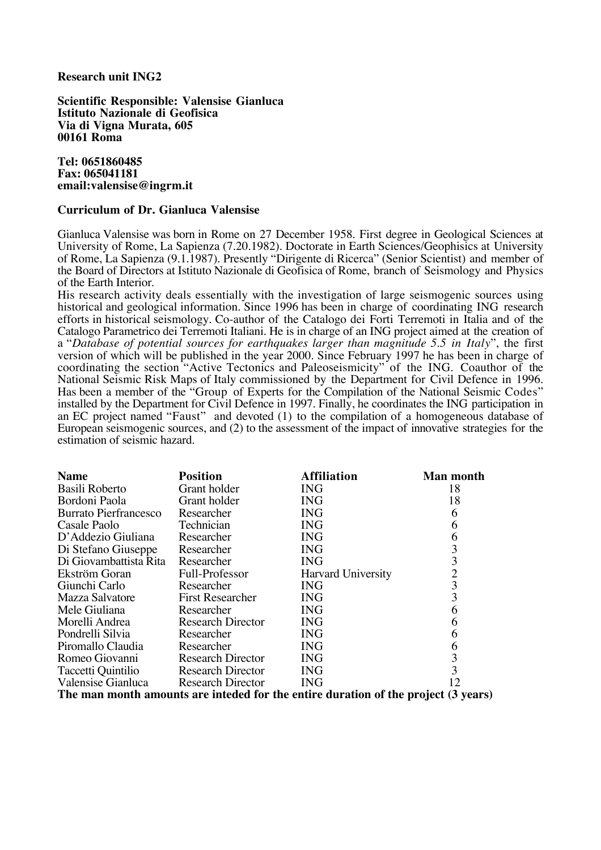**Research unit ING2**

**Scientific Responsible: Valensise Gianluca Istituto Nazionale di Geofisica Via di Vigna Murata, 605 00161 Roma**

**Tel: 0651860485 Fax: 065041181 email:valensise@ingrm.it**

#### **Curriculum of Dr. Gianluca Valensise**

Gianluca Valensise was born in Rome on 27 December 1958. First degree in Geological Sciences at University of Rome, La Sapienza (7.20.1982). Doctorate in Earth Sciences/Geophisics at University of Rome, La Sapienza (9.1.1987). Presently "Dirigente di Ricerca" (Senior Scientist) and member of the Board of Directors at Istituto Nazionale di Geofisica of Rome, branch of Seismology and Physics of the Earth Interior.

His research activity deals essentially with the investigation of large seismogenic sources using historical and geological information. Since 1996 has been in charge of coordinating ING research efforts in historical seismology. Co-author of the Catalogo dei Forti Terremoti in Italia and of the Catalogo Parametrico dei Terremoti Italiani. He is in charge of an ING project aimed at the creation of a "*Database of potential sources for earthquakes larger than magnitude 5.5 in Italy*", the first version of which will be published in the year 2000. Since February 1997 he has been in charge of coordinating the section "Active Tectonics and Paleoseismicity" of the ING. Coauthor of the National Seismic Risk Maps of Italy commissioned by the Department for Civil Defence in 1996. Has been a member of the "Group of Experts for the Compilation of the National Seismic Codes" installed by the Department for Civil Defence in 1997. Finally, he coordinates the ING participation in an EC project named "Faust" and devoted (1) to the compilation of a homogeneous database of European seismogenic sources, and (2) to the assessment of the impact of innovative strategies for the estimation of seismic hazard.

| <b>Name</b>                                                                        | <b>Position</b>          | <b>Affiliation</b>        | <b>Man month</b> |
|------------------------------------------------------------------------------------|--------------------------|---------------------------|------------------|
| Basili Roberto                                                                     | Grant holder             | <b>ING</b>                | 18               |
| Bordoni Paola                                                                      | Grant holder             | <b>ING</b>                | 18               |
| <b>Burrato Pierfrancesco</b>                                                       | Researcher               | <b>ING</b>                | 6                |
| Casale Paolo                                                                       | Technician               | <b>ING</b>                | 6                |
| D'Addezio Giuliana                                                                 | Researcher               | <b>ING</b>                | 6                |
| Di Stefano Giuseppe                                                                | Researcher               | <b>ING</b>                | 3                |
| Di Giovambattista Rita                                                             | Researcher               | <b>ING</b>                | 3                |
| Ekström Goran                                                                      | Full-Professor           | <b>Harvard University</b> | $\overline{c}$   |
| Giunchi Carlo                                                                      | Researcher               | <b>ING</b>                | $\overline{3}$   |
| Mazza Salvatore                                                                    | <b>First Researcher</b>  | <b>ING</b>                | $\overline{3}$   |
| Mele Giuliana                                                                      | Researcher               | <b>ING</b>                | 6                |
| Morelli Andrea                                                                     | <b>Research Director</b> | <b>ING</b>                | 6                |
| Pondrelli Silvia                                                                   | Researcher               | <b>ING</b>                | 6                |
| Piromallo Claudia                                                                  | Researcher               | <b>ING</b>                | 6                |
| Romeo Giovanni                                                                     | <b>Research Director</b> | <b>ING</b>                | 3                |
| Taccetti Quintilio                                                                 | Research Director        | <b>ING</b>                | $\overline{3}$   |
| Valensise Gianluca Research Director                                               |                          | <b>ING</b>                | 12               |
| The man month amounts are inteded for the entire duration of the project (3 years) |                          |                           |                  |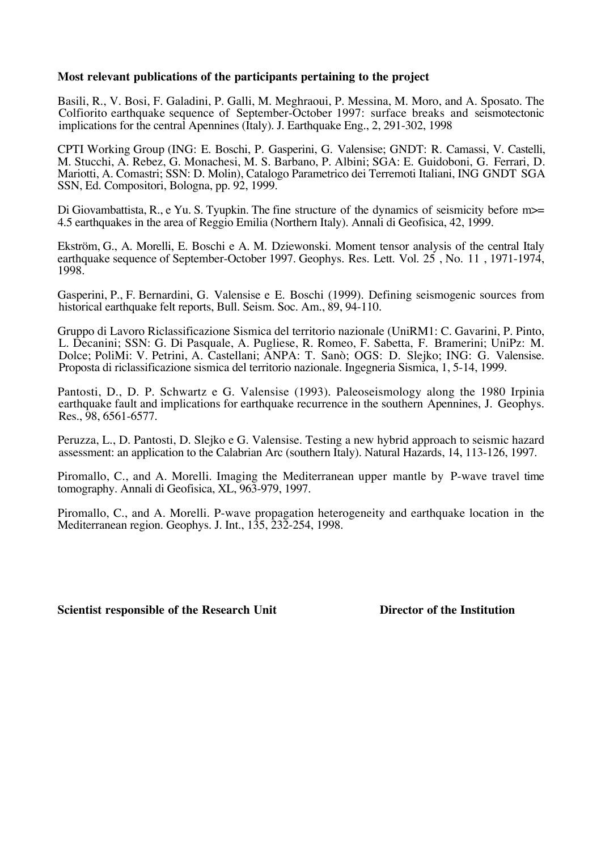Basili, R., V. Bosi, F. Galadini, P. Galli, M. Meghraoui, P. Messina, M. Moro, and A. Sposato. The Colfiorito earthquake sequence of September-October 1997: surface breaks and seismotectonic implications for the central Apennines (Italy). J. Earthquake Eng., 2, 291-302, 1998

CPTI Working Group (ING: E. Boschi, P. Gasperini, G. Valensise; GNDT: R. Camassi, V. Castelli, M. Stucchi, A. Rebez, G. Monachesi, M. S. Barbano, P. Albini; SGA: E. Guidoboni, G. Ferrari, D. Mariotti, A. Comastri; SSN: D. Molin), Catalogo Parametrico dei Terremoti Italiani, ING GNDT SGA SSN, Ed. Compositori, Bologna, pp. 92, 1999.

Di Giovambattista, R., e Yu. S. Tyupkin. The fine structure of the dynamics of seismicity before m $\equiv$ 4.5 earthquakes in the area of Reggio Emilia (Northern Italy). Annali di Geofisica, 42, 1999.

Ekström, G., A. Morelli, E. Boschi e A. M. Dziewonski. Moment tensor analysis of the central Italy earthquake sequence of September-October 1997. Geophys. Res. Lett. Vol. 25 , No. 11 , 1971-1974, 1998.

Gasperini, P., F. Bernardini, G. Valensise e E. Boschi (1999). Defining seismogenic sources from historical earthquake felt reports, Bull. Seism. Soc. Am., 89, 94-110.

Gruppo di Lavoro Riclassificazione Sismica del territorio nazionale (UniRM1: C. Gavarini, P. Pinto, L. Decanini; SSN: G. Di Pasquale, A. Pugliese, R. Romeo, F. Sabetta, F. Bramerini; UniPz: M. Dolce; PoliMi: V. Petrini, A. Castellani; ANPA: T. Sanò; OGS: D. Slejko; ING: G. Valensise. Proposta di riclassificazione sismica del territorio nazionale. Ingegneria Sismica, 1, 5-14, 1999.

Pantosti, D., D. P. Schwartz e G. Valensise (1993). Paleoseismology along the 1980 Irpinia earthquake fault and implications for earthquake recurrence in the southern Apennines, J. Geophys. Res., 98, 6561-6577.

Peruzza, L., D. Pantosti, D. Slejko e G. Valensise. Testing a new hybrid approach to seismic hazard assessment: an application to the Calabrian Arc (southern Italy). Natural Hazards, 14, 113-126, 1997.

Piromallo, C., and A. Morelli. Imaging the Mediterranean upper mantle by P-wave travel time tomography. Annali di Geofisica, XL, 963-979, 1997.

Piromallo, C., and A. Morelli. P-wave propagation heterogeneity and earthquake location in the Mediterranean region. Geophys. J. Int., 135, 232-254, 1998.

**Scientist responsible of the Research Unit Director of the Institution**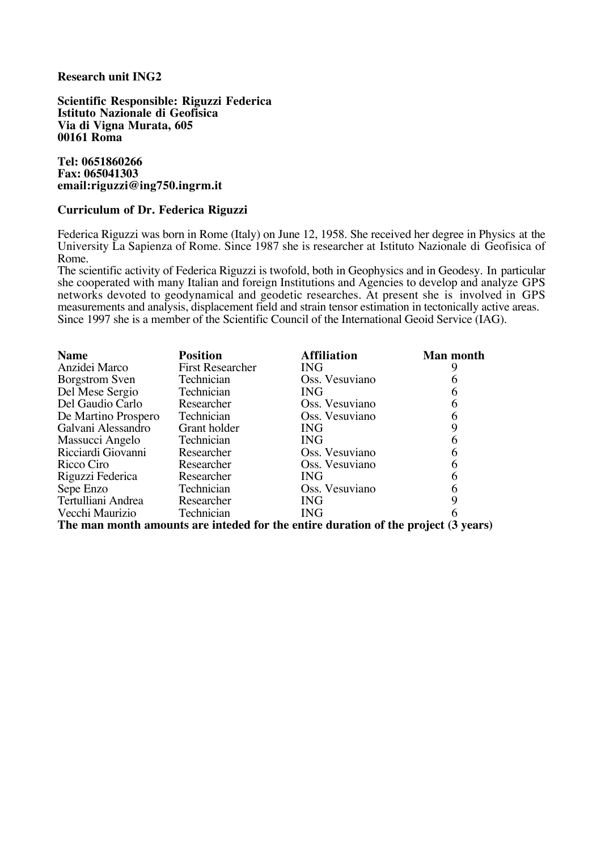**Research unit ING2**

**Scientific Responsible: Riguzzi Federica Istituto Nazionale di Geofisica Via di Vigna Murata, 605 00161 Roma**

**Tel: 0651860266 Fax: 065041303 email:riguzzi@ing750.ingrm.it**

## **Curriculum of Dr. Federica Riguzzi**

Federica Riguzzi was born in Rome (Italy) on June 12, 1958. She received her degree in Physics at the University La Sapienza of Rome. Since 1987 she is researcher at Istituto Nazionale di Geofisica of Rome.

The scientific activity of Federica Riguzzi is twofold, both in Geophysics and in Geodesy. In particular she cooperated with many Italian and foreign Institutions and Agencies to develop and analyze GPS networks devoted to geodynamical and geodetic researches. At present she is involved in GPS measurements and analysis, displacement field and strain tensor estimation in tectonically active areas. Since 1997 she is a member of the Scientific Council of the International Geoid Service (IAG).

| <b>Name</b>         | <b>Position</b>         | <b>Affiliation</b>                                                                 | <b>Man month</b> |
|---------------------|-------------------------|------------------------------------------------------------------------------------|------------------|
| Anzidei Marco       | <b>First Researcher</b> | <b>ING</b>                                                                         | 9                |
| Borgstrom Sven      | Technician              | Oss. Vesuviano                                                                     | 6                |
| Del Mese Sergio     | Technician              | <b>ING</b>                                                                         | 6                |
| Del Gaudio Carlo    | Researcher              | Oss. Vesuviano                                                                     | 6                |
| De Martino Prospero | Technician              | Oss. Vesuviano                                                                     | 6                |
| Galvani Alessandro  | Grant holder            | <b>ING</b>                                                                         | 9                |
| Massucci Angelo     | Technician              | <b>ING</b>                                                                         | 6                |
| Ricciardi Giovanni  | Researcher              | Oss. Vesuviano                                                                     | 6                |
| Ricco Ciro          | Researcher              | Oss. Vesuviano                                                                     | 6                |
| Riguzzi Federica    | Researcher              | <b>ING</b>                                                                         | 6                |
| Sepe Enzo           | Technician              | Oss. Vesuviano                                                                     | 6                |
| Tertulliani Andrea  | Researcher              | <b>ING</b>                                                                         | 9                |
| Vecchi Maurizio     | Technician              | <b>ING</b>                                                                         | 6                |
|                     |                         | The man month amounts are inteded for the entire duration of the project (3 years) |                  |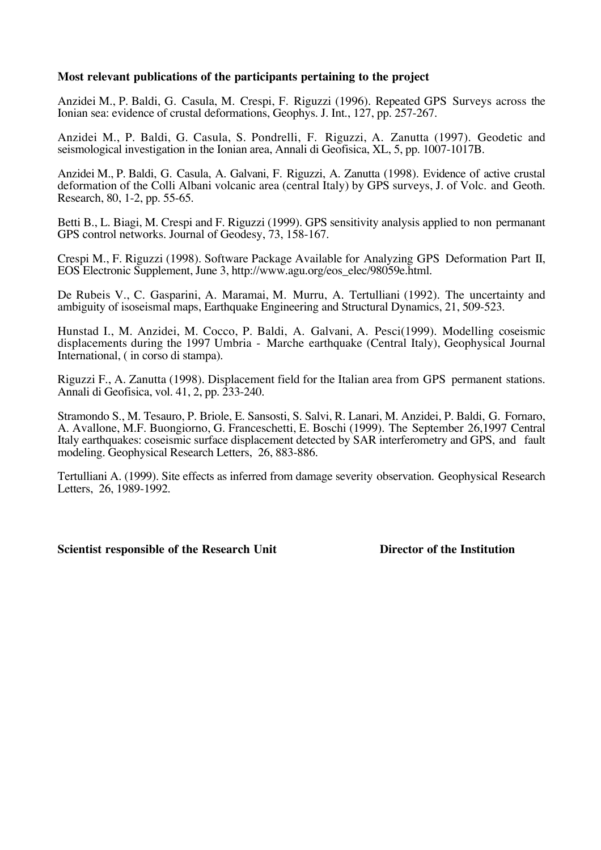Anzidei M., P. Baldi, G. Casula, M. Crespi, F. Riguzzi (1996). Repeated GPS Surveys across the Ionian sea: evidence of crustal deformations, Geophys. J. Int., 127, pp. 257-267.

Anzidei M., P. Baldi, G. Casula, S. Pondrelli, F. Riguzzi, A. Zanutta (1997). Geodetic and seismological investigation in the Ionian area, Annali di Geofisica, XL, 5, pp. 1007-1017B.

Anzidei M., P. Baldi, G. Casula, A. Galvani, F. Riguzzi, A. Zanutta (1998). Evidence of active crustal deformation of the Colli Albani volcanic area (central Italy) by GPS surveys, J. of Volc. and Geoth. Research, 80, 1-2, pp. 55-65.

Betti B., L. Biagi, M. Crespi and F. Riguzzi (1999). GPS sensitivity analysis applied to non permanant GPS control networks. Journal of Geodesy, 73, 158-167.

Crespi M., F. Riguzzi (1998). Software Package Available for Analyzing GPS Deformation Part II, EOS Electronic Supplement, June 3, http://www.agu.org/eos\_elec/98059e.html.

De Rubeis V., C. Gasparini, A. Maramai, M. Murru, A. Tertulliani (1992). The uncertainty and ambiguity of isoseismal maps, Earthquake Engineering and Structural Dynamics, 21, 509-523.

Hunstad I., M. Anzidei, M. Cocco, P. Baldi, A. Galvani, A. Pesci(1999). Modelling coseismic displacements during the 1997 Umbria - Marche earthquake (Central Italy), Geophysical Journal International, ( in corso di stampa).

Riguzzi F., A. Zanutta (1998). Displacement field for the Italian area from GPS permanent stations. Annali di Geofisica, vol. 41, 2, pp. 233-240.

Stramondo S., M. Tesauro, P. Briole, E. Sansosti, S. Salvi, R. Lanari, M. Anzidei, P. Baldi, G. Fornaro, A. Avallone, M.F. Buongiorno, G. Franceschetti, E. Boschi (1999). The September 26,1997 Central Italy earthquakes: coseismic surface displacement detected by SAR interferometry and GPS, and fault modeling. Geophysical Research Letters, 26, 883-886.

Tertulliani A. (1999). Site effects as inferred from damage severity observation. Geophysical Research Letters, 26, 1989-1992.

**Scientist responsible of the Research Unit Director of the Institution**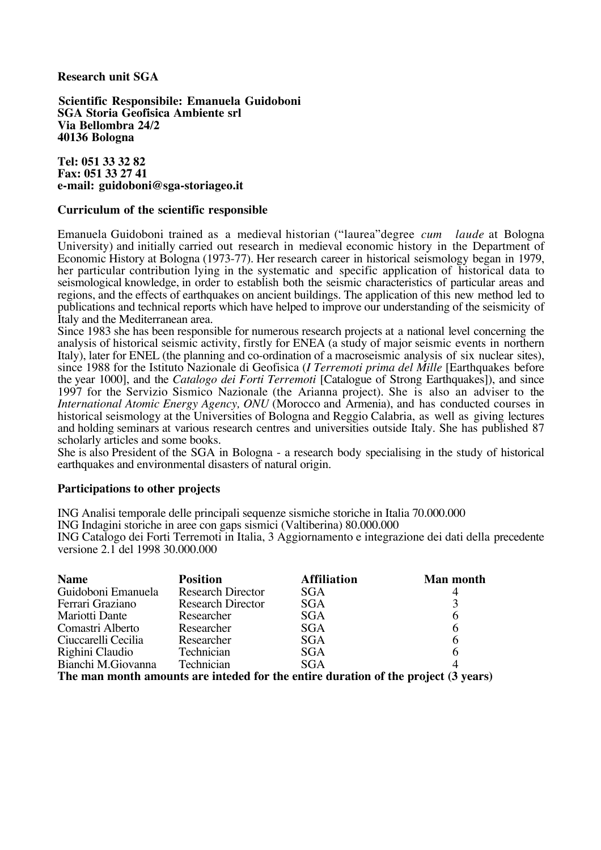**Research unit SGA**

**Scientific Responsibile: Emanuela Guidoboni SGA Storia Geofisica Ambiente srl Via Bellombra 24/2 40136 Bologna**

**Tel: 051 33 32 82 Fax: 051 33 27 41 e-mail: guidoboni@sga-storiageo.it**

#### **Curriculum of the scientific responsible**

Emanuela Guidoboni trained as a medieval historian ("laurea"degree *cum laude* at Bologna University) and initially carried out research in medieval economic history in the Department of Economic History at Bologna (1973-77). Her research career in historical seismology began in 1979, her particular contribution lying in the systematic and specific application of historical data to seismological knowledge, in order to establish both the seismic characteristics of particular areas and regions, and the effects of earthquakes on ancient buildings. The application of this new method led to publications and technical reports which have helped to improve our understanding of the seismicity of Italy and the Mediterranean area.

Since 1983 she has been responsible for numerous research projects at a national level concerning the analysis of historical seismic activity, firstly for ENEA (a study of major seismic events in northern Italy), later for ENEL (the planning and co-ordination of a macroseismic analysis of six nuclear sites), since 1988 for the Istituto Nazionale di Geofisica (*I Terremoti prima del Mille* [Earthquakes before the year 1000], and the *Catalogo dei Forti Terremoti* [Catalogue of Strong Earthquakes]), and since 1997 for the Servizio Sismico Nazionale (the Arianna project). She is also an adviser to the *International Atomic Energy Agency, ONU* (Morocco and Armenia), and has conducted courses in historical seismology at the Universities of Bologna and Reggio Calabria, as well as giving lectures and holding seminars at various research centres and universities outside Italy. She has published 87 scholarly articles and some books.

She is also President of the SGA in Bologna - a research body specialising in the study of historical earthquakes and environmental disasters of natural origin.

#### **Participations to other projects**

ING Analisi temporale delle principali sequenze sismiche storiche in Italia 70.000.000

ING Indagini storiche in aree con gaps sismici (Valtiberina) 80.000.000

ING Catalogo dei Forti Terremoti in Italia, 3 Aggiornamento e integrazione dei dati della precedente versione 2.1 del 1998 30.000.000

| <b>Name</b>         | Position                                                                           | <b>Affiliation</b> | Man month |
|---------------------|------------------------------------------------------------------------------------|--------------------|-----------|
| Guidoboni Emanuela  | <b>Research Director</b>                                                           | SGA.               |           |
| Ferrari Graziano    | <b>Research Director</b>                                                           | <b>SGA</b>         |           |
| Mariotti Dante      | Researcher                                                                         | SGA                | 6         |
| Comastri Alberto    | Researcher                                                                         | SGA                | 6         |
| Ciuccarelli Cecilia | Researcher                                                                         | <b>SGA</b>         | 6         |
| Righini Claudio     | Technician                                                                         | <b>SGA</b>         | 6         |
| Bianchi M.Giovanna  | Technician                                                                         | <b>SGA</b>         |           |
|                     | The man month amounts are inteded for the entire duration of the project (3 years) |                    |           |

**The man month amounts are inteded for the entire duration of the project (5 years)**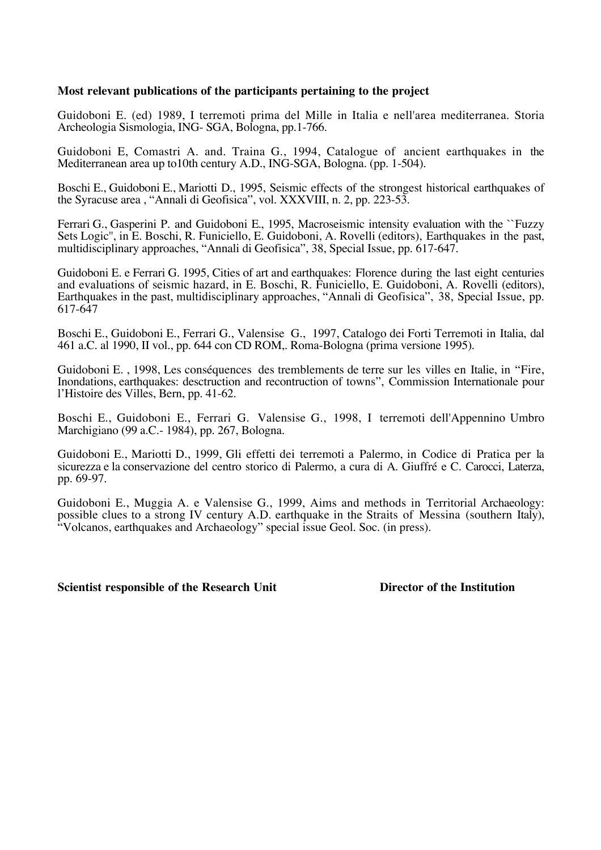Guidoboni E. (ed) 1989, I terremoti prima del Mille in Italia e nell'area mediterranea. Storia Archeologia Sismologia, ING- SGA, Bologna, pp.1-766.

Guidoboni E, Comastri A. and. Traina G., 1994, Catalogue of ancient earthquakes in the Mediterranean area up to10th century A.D., ING-SGA, Bologna. (pp. 1-504).

Boschi E., Guidoboni E., Mariotti D., 1995, Seismic effects of the strongest historical earthquakes of the Syracuse area , "Annali di Geofisica", vol. XXXVIII, n. 2, pp. 223-53.

Ferrari G., Gasperini P. and Guidoboni E., 1995, Macroseismic intensity evaluation with the ``Fuzzy Sets Logic'', in E. Boschi, R. Funiciello, E. Guidoboni, A. Rovelli (editors), Earthquakes in the past, multidisciplinary approaches, "Annali di Geofisica", 38, Special Issue, pp. 617-647.

Guidoboni E. e Ferrari G. 1995, Cities of art and earthquakes: Florence during the last eight centuries and evaluations of seismic hazard, in E. Boschi, R. Funiciello, E. Guidoboni, A. Rovelli (editors), Earthquakes in the past, multidisciplinary approaches, "Annali di Geofisica", 38, Special Issue, pp. 617-647

Boschi E., Guidoboni E., Ferrari G., Valensise G., 1997, Catalogo dei Forti Terremoti in Italia, dal 461 a.C. al 1990, II vol., pp. 644 con CD ROM,. Roma-Bologna (prima versione 1995).

Guidoboni E. , 1998, Les conséquences des tremblements de terre sur les villes en Italie, in "Fire, Inondations, earthquakes: desctruction and recontruction of towns", Commission Internationale pour l'Histoire des Villes, Bern, pp. 41-62.

Boschi E., Guidoboni E., Ferrari G. Valensise G., 1998, I terremoti dell'Appennino Umbro Marchigiano (99 a.C.- 1984), pp. 267, Bologna.

Guidoboni E., Mariotti D., 1999, Gli effetti dei terremoti a Palermo, in Codice di Pratica per la sicurezza e la conservazione del centro storico di Palermo, a cura di A. Giuffré e C. Carocci, Laterza, pp. 69-97.

Guidoboni E., Muggia A. e Valensise G., 1999, Aims and methods in Territorial Archaeology: possible clues to a strong IV century A.D. earthquake in the Straits of Messina (southern Italy), "Volcanos, earthquakes and Archaeology" special issue Geol. Soc. (in press).

### **Scientist responsible of the Research Unit Mateurs 2016 10 Director of the Institution**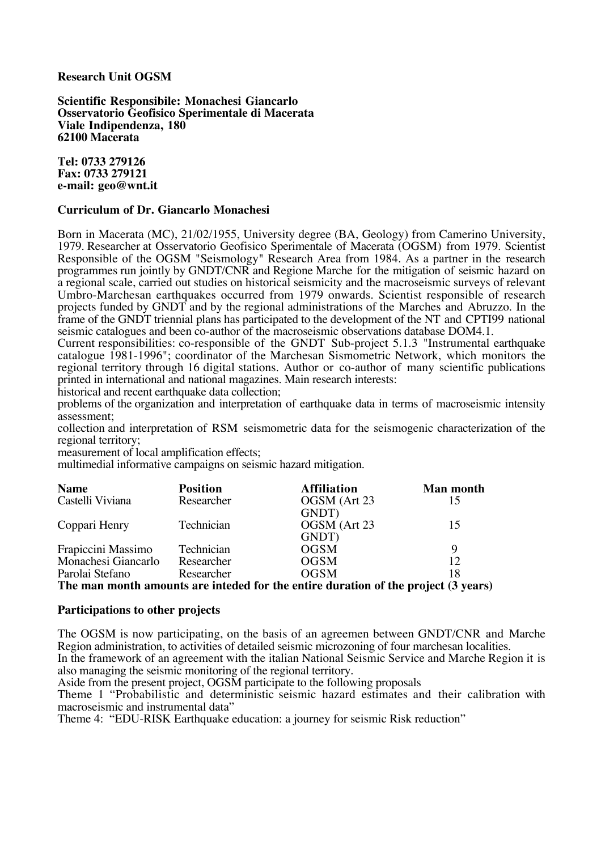#### **Research Unit OGSM**

**Scientific Responsibile: Monachesi Giancarlo Osservatorio Geofisico Sperimentale di Macerata Viale Indipendenza, 180 62100 Macerata**

**Tel: 0733 279126 Fax: 0733 279121 e-mail: geo@wnt.it**

### **Curriculum of Dr. Giancarlo Monachesi**

Born in Macerata (MC), 21/02/1955, University degree (BA, Geology) from Camerino University, 1979. Researcher at Osservatorio Geofisico Sperimentale of Macerata (OGSM) from 1979. Scientist Responsible of the OGSM "Seismology" Research Area from 1984. As a partner in the research programmes run jointly by GNDT/CNR and Regione Marche for the mitigation of seismic hazard on a regional scale, carried out studies on historical seismicity and the macroseismic surveys of relevant Umbro-Marchesan earthquakes occurred from 1979 onwards. Scientist responsible of research projects funded by GNDT and by the regional administrations of the Marches and Abruzzo. In the frame of the GNDT triennial plans has participated to the development of the NT and CPTI99 national seismic catalogues and been co-author of the macroseismic observations database DOM4.1.

Current responsibilities: co-responsible of the GNDT Sub-project 5.1.3 "Instrumental earthquake catalogue 1981-1996"; coordinator of the Marchesan Sismometric Network, which monitors the regional territory through 16 digital stations. Author or co-author of many scientific publications printed in international and national magazines. Main research interests:

historical and recent earthquake data collection;

problems of the organization and interpretation of earthquake data in terms of macroseismic intensity assessment;

collection and interpretation of RSM seismometric data for the seismogenic characterization of the regional territory;

measurement of local amplification effects;

multimedial informative campaigns on seismic hazard mitigation.

| <b>Name</b>         | <b>Position</b> | <b>Affiliation</b>                                                                 | <b>Man month</b> |
|---------------------|-----------------|------------------------------------------------------------------------------------|------------------|
| Castelli Viviana    | Researcher      | OGSM (Art 23                                                                       | 15               |
|                     |                 | GNDT)                                                                              |                  |
| Coppari Henry       | Technician      | OGSM (Art 23                                                                       | 15               |
|                     |                 | GNDT)                                                                              |                  |
| Frapiccini Massimo  | Technician      | <b>OGSM</b>                                                                        | 9                |
| Monachesi Giancarlo | Researcher      | <b>OGSM</b>                                                                        | 12               |
| Parolai Stefano     | Researcher      | <b>OGSM</b>                                                                        | 18               |
|                     |                 | The man month amounts are inteded for the entire duration of the project (3 years) |                  |

#### **Participations to other projects**

The OGSM is now participating, on the basis of an agreemen between GNDT/CNR and Marche Region administration, to activities of detailed seismic microzoning of four marchesan localities.

In the framework of an agreement with the italian National Seismic Service and Marche Region it is also managing the seismic monitoring of the regional territory.

Aside from the present project, OGSM participate to the following proposals

Theme 1 "Probabilistic and deterministic seismic hazard estimates and their calibration with macroseismic and instrumental data"

Theme 4: "EDU-RISK Earthquake education: a journey for seismic Risk reduction"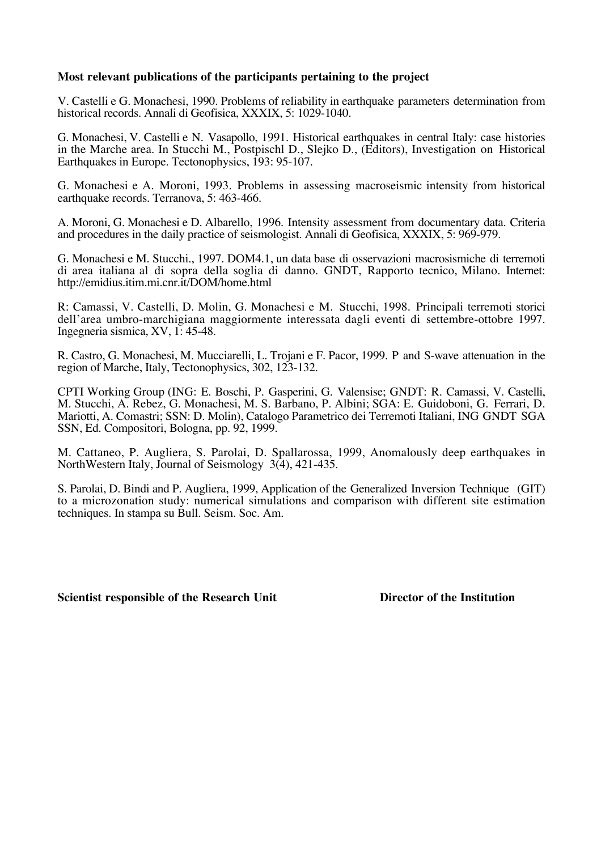V. Castelli e G. Monachesi, 1990. Problems of reliability in earthquake parameters determination from historical records. Annali di Geofisica, XXXIX, 5: 1029-1040.

G. Monachesi, V. Castelli e N. Vasapollo, 1991. Historical earthquakes in central Italy: case histories in the Marche area. In Stucchi M., Postpischl D., Slejko D., (Editors), Investigation on Historical Earthquakes in Europe. Tectonophysics, 193: 95-107.

G. Monachesi e A. Moroni, 1993. Problems in assessing macroseismic intensity from historical earthquake records. Terranova, 5: 463-466.

A. Moroni, G. Monachesi e D. Albarello, 1996. Intensity assessment from documentary data. Criteria and procedures in the daily practice of seismologist. Annali di Geofisica, XXXIX, 5: 969-979.

G. Monachesi e M. Stucchi., 1997. DOM4.1, un data base di osservazioni macrosismiche di terremoti di area italiana al di sopra della soglia di danno. GNDT, Rapporto tecnico, Milano. Internet: http://emidius.itim.mi.cnr.it/DOM/home.html

R: Camassi, V. Castelli, D. Molin, G. Monachesi e M. Stucchi, 1998. Principali terremoti storici dell'area umbro-marchigiana maggiormente interessata dagli eventi di settembre-ottobre 1997. Ingegneria sismica, XV, 1: 45-48.

R. Castro, G. Monachesi, M. Mucciarelli, L. Trojani e F. Pacor, 1999. P and S-wave attenuation in the region of Marche, Italy, Tectonophysics, 302, 123-132.

CPTI Working Group (ING: E. Boschi, P. Gasperini, G. Valensise; GNDT: R. Camassi, V. Castelli, M. Stucchi, A. Rebez, G. Monachesi, M. S. Barbano, P. Albini; SGA: E. Guidoboni, G. Ferrari, D. Mariotti, A. Comastri; SSN: D. Molin), Catalogo Parametrico dei Terremoti Italiani, ING GNDT SGA SSN, Ed. Compositori, Bologna, pp. 92, 1999.

M. Cattaneo, P. Augliera, S. Parolai, D. Spallarossa, 1999, Anomalously deep earthquakes in NorthWestern Italy, Journal of Seismology 3(4), 421-435.

S. Parolai, D. Bindi and P. Augliera, 1999, Application of the Generalized Inversion Technique (GIT) to a microzonation study: numerical simulations and comparison with different site estimation techniques. In stampa su Bull. Seism. Soc. Am.

**Scientist responsible of the Research Unit Director of the Institution**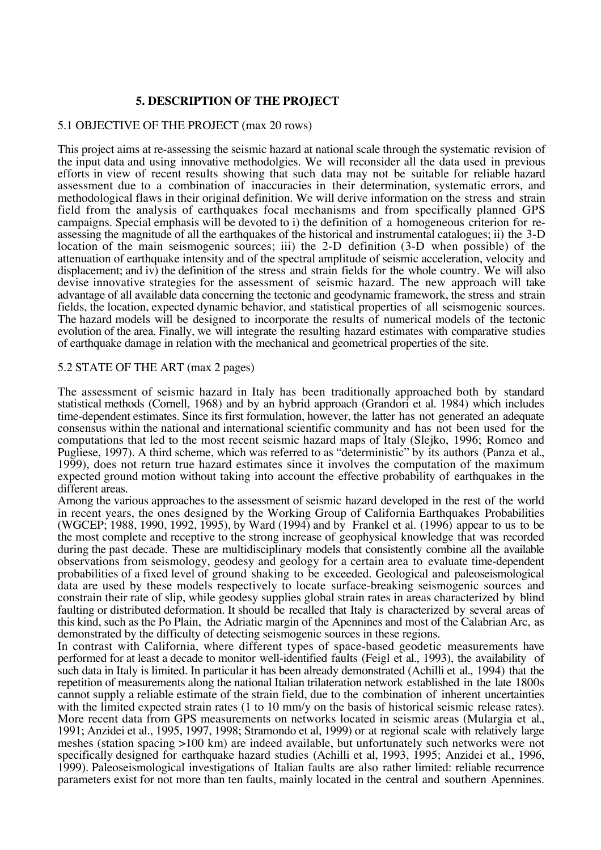### **5. DESCRIPTION OF THE PROJECT**

### 5.1 OBJECTIVE OF THE PROJECT (max 20 rows)

This project aims at re-assessing the seismic hazard at national scale through the systematic revision of the input data and using innovative methodolgies. We will reconsider all the data used in previous efforts in view of recent results showing that such data may not be suitable for reliable hazard assessment due to a combination of inaccuracies in their determination, systematic errors, and methodological flaws in their original definition. We will derive information on the stress and strain field from the analysis of earthquakes focal mechanisms and from specifically planned GPS campaigns. Special emphasis will be devoted to i) the definition of a homogeneous criterion for reassessing the magnitude of all the earthquakes of the historical and instrumental catalogues; ii) the 3-D location of the main seismogenic sources; iii) the 2-D definition (3-D when possible) of the attenuation of earthquake intensity and of the spectral amplitude of seismic acceleration, velocity and displacement; and iv) the definition of the stress and strain fields for the whole country. We will also devise innovative strategies for the assessment of seismic hazard. The new approach will take advantage of all available data concerning the tectonic and geodynamic framework, the stress and strain fields, the location, expected dynamic behavior, and statistical properties of all seismogenic sources. The hazard models will be designed to incorporate the results of numerical models of the tectonic evolution of the area. Finally, we will integrate the resulting hazard estimates with comparative studies of earthquake damage in relation with the mechanical and geometrical properties of the site.

### 5.2 STATE OF THE ART (max 2 pages)

The assessment of seismic hazard in Italy has been traditionally approached both by standard statistical methods (Cornell, 1968) and by an hybrid approach (Grandori et al. 1984) which includes time-dependent estimates. Since its first formulation, however, the latter has not generated an adequate consensus within the national and international scientific community and has not been used for the computations that led to the most recent seismic hazard maps of Italy (Slejko, 1996; Romeo and Pugliese, 1997). A third scheme, which was referred to as "deterministic" by its authors (Panza et al., 1999), does not return true hazard estimates since it involves the computation of the maximum expected ground motion without taking into account the effective probability of earthquakes in the different areas.

Among the various approaches to the assessment of seismic hazard developed in the rest of the world in recent years, the ones designed by the Working Group of California Earthquakes Probabilities (WGCEP; 1988, 1990, 1992, 1995), by Ward (1994) and by Frankel et al. (1996) appear to us to be the most complete and receptive to the strong increase of geophysical knowledge that was recorded during the past decade. These are multidisciplinary models that consistently combine all the available observations from seismology, geodesy and geology for a certain area to evaluate time-dependent probabilities of a fixed level of ground shaking to be exceeded. Geological and paleoseismological data are used by these models respectively to locate surface-breaking seismogenic sources and constrain their rate of slip, while geodesy supplies global strain rates in areas characterized by blind faulting or distributed deformation. It should be recalled that Italy is characterized by several areas of this kind, such as the Po Plain, the Adriatic margin of the Apennines and most of the Calabrian Arc, as demonstrated by the difficulty of detecting seismogenic sources in these regions.

In contrast with California, where different types of space-based geodetic measurements have performed for at least a decade to monitor well-identified faults (Feigl et al., 1993), the availability of such data in Italy is limited. In particular it has been already demonstrated (Achilli et al., 1994) that the repetition of measurements along the national Italian trilateration network established in the late 1800s cannot supply a reliable estimate of the strain field, due to the combination of inherent uncertainties with the limited expected strain rates (1 to 10 mm/y on the basis of historical seismic release rates). More recent data from GPS measurements on networks located in seismic areas (Mulargia et al., 1991; Anzidei et al., 1995, 1997, 1998; Stramondo et al, 1999) or at regional scale with relatively large meshes (station spacing >100 km) are indeed available, but unfortunately such networks were not specifically designed for earthquake hazard studies (Achilli et al, 1993, 1995; Anzidei et al., 1996, 1999). Paleoseismological investigations of Italian faults are also rather limited: reliable recurrence parameters exist for not more than ten faults, mainly located in the central and southern Apennines.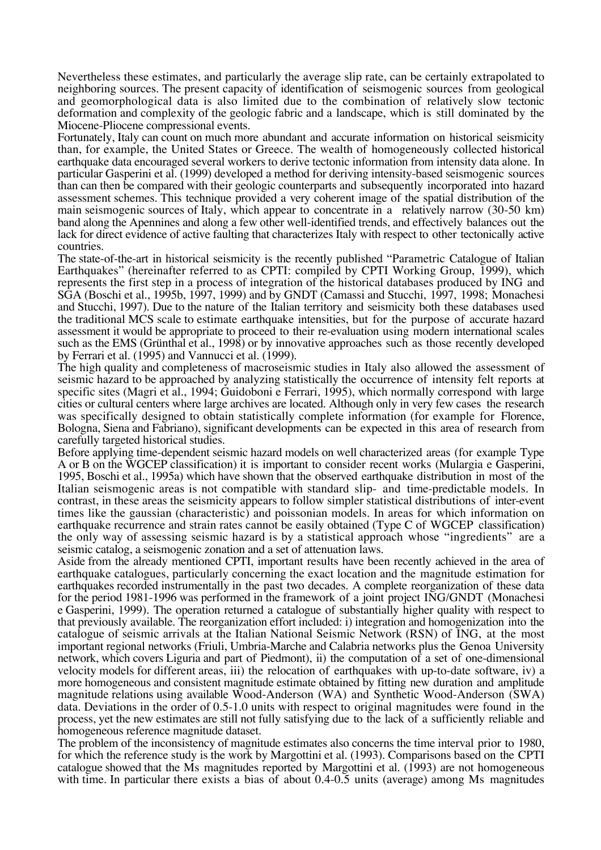Nevertheless these estimates, and particularly the average slip rate, can be certainly extrapolated to neighboring sources. The present capacity of identification of seismogenic sources from geological and geomorphological data is also limited due to the combination of relatively slow tectonic deformation and complexity of the geologic fabric and a landscape, which is still dominated by the Miocene-Pliocene compressional events.

Fortunately, Italy can count on much more abundant and accurate information on historical seismicity than, for example, the United States or Greece. The wealth of homogeneously collected historical earthquake data encouraged several workers to derive tectonic information from intensity data alone. In particular Gasperini et al. (1999) developed a method for deriving intensity-based seismogenic sources than can then be compared with their geologic counterparts and subsequently incorporated into hazard assessment schemes. This technique provided a very coherent image of the spatial distribution of the main seismogenic sources of Italy, which appear to concentrate in a relatively narrow (30-50 km) band along the Apennines and along a few other well-identified trends, and effectively balances out the lack for direct evidence of active faulting that characterizes Italy with respect to other tectonically active countries.

The state-of-the-art in historical seismicity is the recently published "Parametric Catalogue of Italian Earthquakes" (hereinafter referred to as CPTI: compiled by CPTI Working Group, 1999), which represents the first step in a process of integration of the historical databases produced by ING and SGA (Boschi et al., 1995b, 1997, 1999) and by GNDT (Camassi and Stucchi, 1997, 1998; Monachesi and Stucchi, 1997). Due to the nature of the Italian territory and seismicity both these databases used the traditional MCS scale to estimate earthquake intensities, but for the purpose of accurate hazard assessment it would be appropriate to proceed to their re-evaluation using modern international scales such as the EMS (Grünthal et al., 1998) or by innovative approaches such as those recently developed by Ferrari et al. (1995) and Vannucci et al. (1999).

The high quality and completeness of macroseismic studies in Italy also allowed the assessment of seismic hazard to be approached by analyzing statistically the occurrence of intensity felt reports at specific sites (Magri et al., 1994; Guidoboni e Ferrari, 1995), which normally correspond with large cities or cultural centers where large archives are located. Although only in very few cases the research was specifically designed to obtain statistically complete information (for example for Florence, Bologna, Siena and Fabriano), significant developments can be expected in this area of research from carefully targeted historical studies.

Before applying time-dependent seismic hazard models on well characterized areas (for example Type A or B on the WGCEP classification) it is important to consider recent works (Mulargia e Gasperini, 1995, Boschi et al., 1995a) which have shown that the observed earthquake distribution in most of the Italian seismogenic areas is not compatible with standard slip- and time-predictable models. In contrast, in these areas the seismicity appears to follow simpler statistical distributions of inter-event times like the gaussian (characteristic) and poissonian models. In areas for which information on earthquake recurrence and strain rates cannot be easily obtained (Type C of WGCEP classification) the only way of assessing seismic hazard is by a statistical approach whose "ingredients" are a seismic catalog, a seismogenic zonation and a set of attenuation laws.

Aside from the already mentioned CPTI, important results have been recently achieved in the area of earthquake catalogues, particularly concerning the exact location and the magnitude estimation for earthquakes recorded instrumentally in the past two decades. A complete reorganization of these data for the period 1981-1996 was performed in the framework of a joint project ING/GNDT (Monachesi e Gasperini, 1999). The operation returned a catalogue of substantially higher quality with respect to that previously available. The reorganization effort included: i) integration and homogenization into the catalogue of seismic arrivals at the Italian National Seismic Network (RSN) of ING, at the most important regional networks (Friuli, Umbria-Marche and Calabria networks plus the Genoa University network, which covers Liguria and part of Piedmont), ii) the computation of a set of one-dimensional velocity models for different areas, iii) the relocation of earthquakes with up-to-date software, iv) a more homogeneous and consistent magnitude estimate obtained by fitting new duration and amplitude magnitude relations using available Wood-Anderson (WA) and Synthetic Wood-Anderson (SWA) data. Deviations in the order of 0.5-1.0 units with respect to original magnitudes were found in the process, yet the new estimates are still not fully satisfying due to the lack of a sufficiently reliable and homogeneous reference magnitude dataset.

The problem of the inconsistency of magnitude estimates also concerns the time interval prior to 1980, for which the reference study is the work by Margottini et al. (1993). Comparisons based on the CPTI catalogue showed that the Ms magnitudes reported by Margottini et al. (1993) are not homogeneous with time. In particular there exists a bias of about 0.4-0.5 units (average) among Ms magnitudes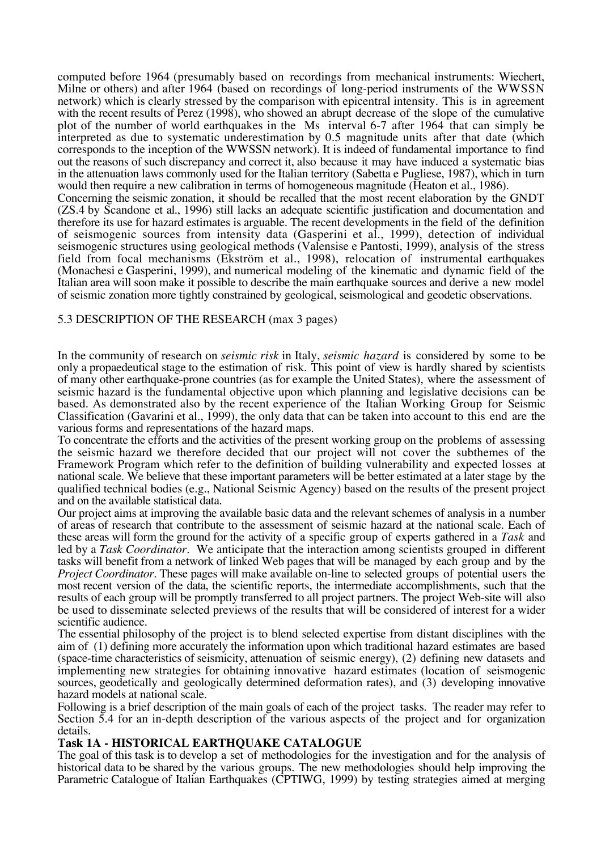computed before 1964 (presumably based on recordings from mechanical instruments: Wiechert, Milne or others) and after 1964 (based on recordings of long-period instruments of the WWSSN network) which is clearly stressed by the comparison with epicentral intensity. This is in agreement with the recent results of Perez (1998), who showed an abrupt decrease of the slope of the cumulative plot of the number of world earthquakes in the Ms interval 6-7 after 1964 that can simply be interpreted as due to systematic underestimation by 0.5 magnitude units after that date (which corresponds to the inception of the WWSSN network). It is indeed of fundamental importance to find out the reasons of such discrepancy and correct it, also because it may have induced a systematic bias in the attenuation laws commonly used for the Italian territory (Sabetta e Pugliese, 1987), which in turn would then require a new calibration in terms of homogeneous magnitude (Heaton et al., 1986). Concerning the seismic zonation, it should be recalled that the most recent elaboration by the GNDT

(ZS.4 by Scandone et al., 1996) still lacks an adequate scientific justification and documentation and therefore its use for hazard estimates is arguable. The recent developments in the field of the definition of seismogenic sources from intensity data (Gasperini et al., 1999), detection of individual seismogenic structures using geological methods (Valensise e Pantosti, 1999), analysis of the stress field from focal mechanisms (Ekström et al., 1998), relocation of instrumental earthquakes (Monachesi e Gasperini, 1999), and numerical modeling of the kinematic and dynamic field of the Italian area will soon make it possible to describe the main earthquake sources and derive a new model of seismic zonation more tightly constrained by geological, seismological and geodetic observations.

### 5.3 DESCRIPTION OF THE RESEARCH (max 3 pages)

In the community of research on *seismic risk* in Italy, *seismic hazard* is considered by some to be only a propaedeutical stage to the estimation of risk. This point of view is hardly shared by scientists of many other earthquake-prone countries (as for example the United States), where the assessment of seismic hazard is the fundamental objective upon which planning and legislative decisions can be based. As demonstrated also by the recent experience of the Italian Working Group for Seismic Classification (Gavarini et al., 1999), the only data that can be taken into account to this end are the various forms and representations of the hazard maps.

To concentrate the efforts and the activities of the present working group on the problems of assessing the seismic hazard we therefore decided that our project will not cover the subthemes of the Framework Program which refer to the definition of building vulnerability and expected losses at national scale. We believe that these important parameters will be better estimated at a later stage by the qualified technical bodies (e.g., National Seismic Agency) based on the results of the present project and on the available statistical data.

Our project aims at improving the available basic data and the relevant schemes of analysis in a number of areas of research that contribute to the assessment of seismic hazard at the national scale. Each of these areas will form the ground for the activity of a specific group of experts gathered in a *Task* and led by a *Task Coordinator.* We anticipate that the interaction among scientists grouped in different tasks will benefit from a network of linked Web pages that will be managed by each group and by the *Project Coordinator*. These pages will make available on-line to selected groups of potential users the most recent version of the data, the scientific reports, the intermediate accomplishments, such that the results of each group will be promptly transferred to all project partners. The project Web-site will also be used to disseminate selected previews of the results that will be considered of interest for a wider scientific audience.

The essential philosophy of the project is to blend selected expertise from distant disciplines with the aim of (1) defining more accurately the information upon which traditional hazard estimates are based (space-time characteristics of seismicity, attenuation of seismic energy), (2) defining new datasets and implementing new strategies for obtaining innovative hazard estimates (location of seismogenic sources, geodetically and geologically determined deformation rates), and (3) developing innovative hazard models at national scale.

Following is a brief description of the main goals of each of the project tasks. The reader may refer to Section 5.4 for an in-depth description of the various aspects of the project and for organization details.

#### **Task 1A - HISTORICAL EARTHQUAKE CATALOGUE**

The goal of this task is to develop a set of methodologies for the investigation and for the analysis of historical data to be shared by the various groups. The new methodologies should help improving the Parametric Catalogue of Italian Earthquakes (CPTIWG, 1999) by testing strategies aimed at merging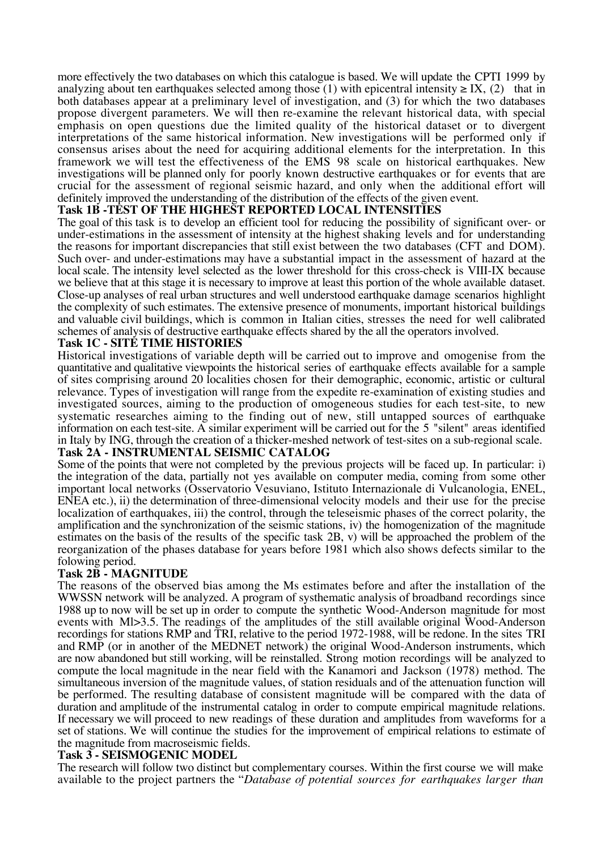more effectively the two databases on which this catalogue is based. We will update the CPTI 1999 by analyzing about ten earthquakes selected among those (1) with epicentral intensity  $\geq$  IX, (2) that in both databases appear at a preliminary level of investigation, and (3) for which the two databases propose divergent parameters. We will then re-examine the relevant historical data, with special emphasis on open questions due the limited quality of the historical dataset or to divergent interpretations of the same historical information. New investigations will be performed only if consensus arises about the need for acquiring additional elements for the interpretation. In this framework we will test the effectiveness of the EMS 98 scale on historical earthquakes. New investigations will be planned only for poorly known destructive earthquakes or for events that are crucial for the assessment of regional seismic hazard, and only when the additional effort will definitely improved the understanding of the distribution of the effects of the given event.

## **Task 1B -TEST OF THE HIGHEST REPORTED LOCAL INTENSITIES**

The goal of this task is to develop an efficient tool for reducing the possibility of significant over- or under-estimations in the assessment of intensity at the highest shaking levels and for understanding the reasons for important discrepancies that still exist between the two databases (CFT and DOM). Such over- and under-estimations may have a substantial impact in the assessment of hazard at the local scale. The intensity level selected as the lower threshold for this cross-check is VIII-IX because we believe that at this stage it is necessary to improve at least this portion of the whole available dataset. Close-up analyses of real urban structures and well understood earthquake damage scenarios highlight the complexity of such estimates. The extensive presence of monuments, important historical buildings and valuable civil buildings, which is common in Italian cities, stresses the need for well calibrated schemes of analysis of destructive earthquake effects shared by the all the operators involved.

### **Task 1C - SITE TIME HISTORIES**

Historical investigations of variable depth will be carried out to improve and omogenise from the quantitative and qualitative viewpoints the historical series of earthquake effects available for a sample of sites comprising around 20 localities chosen for their demographic, economic, artistic or cultural relevance. Types of investigation will range from the expedite re-examination of existing studies and investigated sources, aiming to the production of omogeneous studies for each test-site, to new systematic researches aiming to the finding out of new, still untapped sources of earthquake information on each test-site. A similar experiment will be carried out for the 5 "silent" areas identified in Italy by ING, through the creation of a thicker-meshed network of test-sites on a sub-regional scale.

#### **Task 2A - INSTRUMENTAL SEISMIC CATALOG**

Some of the points that were not completed by the previous projects will be faced up. In particular: i) the integration of the data, partially not yes available on computer media, coming from some other important local networks (Osservatorio Vesuviano, Istituto Internazionale di Vulcanologia, ENEL, ENEA etc.), ii) the determination of three-dimensional velocity models and their use for the precise localization of earthquakes, iii) the control, through the teleseismic phases of the correct polarity, the amplification and the synchronization of the seismic stations, iv) the homogenization of the magnitude estimates on the basis of the results of the specific task 2B, v) will be approached the problem of the reorganization of the phases database for years before 1981 which also shows defects similar to the folowing period.

### **Task 2B - MAGNITUDE**

The reasons of the observed bias among the Ms estimates before and after the installation of the WWSSN network will be analyzed. A program of systhematic analysis of broadband recordings since 1988 up to now will be set up in order to compute the synthetic Wood-Anderson magnitude for most events with Ml>3.5. The readings of the amplitudes of the still available original Wood-Anderson recordings for stations RMP and TRI, relative to the period 1972-1988, will be redone. In the sites TRI and RMP (or in another of the MEDNET network) the original Wood-Anderson instruments, which are now abandoned but still working, will be reinstalled. Strong motion recordings will be analyzed to compute the local magnitude in the near field with the Kanamori and Jackson (1978) method. The simultaneous inversion of the magnitude values, of station residuals and of the attenuation function will be performed. The resulting database of consistent magnitude will be compared with the data of duration and amplitude of the instrumental catalog in order to compute empirical magnitude relations. If necessary we will proceed to new readings of these duration and amplitudes from waveforms for a set of stations. We will continue the studies for the improvement of empirical relations to estimate of the magnitude from macroseismic fields.

#### **Task 3 - SEISMOGENIC MODEL**

The research will follow two distinct but complementary courses. Within the first course we will make available to the project partners the "*Database of potential sources for earthquakes larger than*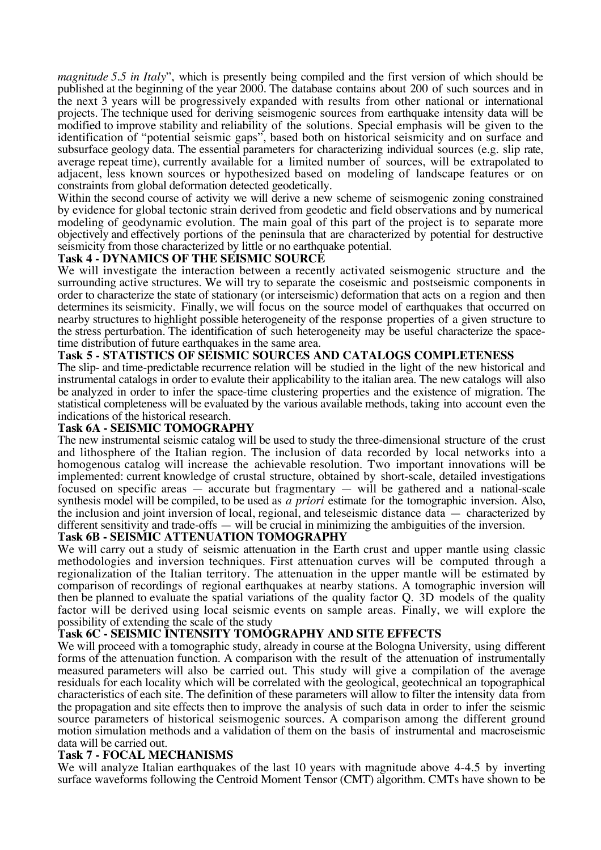*magnitude 5.5 in Italy*", which is presently being compiled and the first version of which should be published at the beginning of the year 2000. The database contains about 200 of such sources and in the next 3 years will be progressively expanded with results from other national or international projects. The technique used for deriving seismogenic sources from earthquake intensity data will be modified to improve stability and reliability of the solutions. Special emphasis will be given to the identification of "potential seismic gaps", based both on historical seismicity and on surface and subsurface geology data. The essential parameters for characterizing individual sources (e.g. slip rate, average repeat time), currently available for a limited number of sources, will be extrapolated to adjacent, less known sources or hypothesized based on modeling of landscape features or on constraints from global deformation detected geodetically.

Within the second course of activity we will derive a new scheme of seismogenic zoning constrained by evidence for global tectonic strain derived from geodetic and field observations and by numerical modeling of geodynamic evolution. The main goal of this part of the project is to separate more objectively and effectively portions of the peninsula that are characterized by potential for destructive seismicity from those characterized by little or no earthquake potential.

### **Task 4 - DYNAMICS OF THE SEISMIC SOURCE**

We will investigate the interaction between a recently activated seismogenic structure and the surrounding active structures. We will try to separate the coseismic and postseismic components in order to characterize the state of stationary (or interseismic) deformation that acts on a region and then determines its seismicity. Finally, we will focus on the source model of earthquakes that occurred on nearby structures to highlight possible heterogeneity of the response properties of a given structure to the stress perturbation. The identification of such heterogeneity may be useful characterize the spacetime distribution of future earthquakes in the same area.

### **Task 5 - STATISTICS OF SEISMIC SOURCES AND CATALOGS COMPLETENESS**

The slip- and time-predictable recurrence relation will be studied in the light of the new historical and instrumental catalogs in order to evalute their applicability to the italian area. The new catalogs will also be analyzed in order to infer the space-time clustering properties and the existence of migration. The statistical completeness will be evaluated by the various available methods, taking into account even the indications of the historical research.

#### **Task 6A - SEISMIC TOMOGRAPHY**

The new instrumental seismic catalog will be used to study the three-dimensional structure of the crust and lithosphere of the Italian region. The inclusion of data recorded by local networks into a homogenous catalog will increase the achievable resolution. Two important innovations will be implemented: current knowledge of crustal structure, obtained by short-scale, detailed investigations focused on specific areas — accurate but fragmentary — will be gathered and a national-scale synthesis model will be compiled, to be used as *a priori* estimate for the tomographic inversion. Also, the inclusion and joint inversion of local, regional, and teleseismic distance data — characterized by different sensitivity and trade-offs — will be crucial in minimizing the ambiguities of the inversion.

### **Task 6B - SEISMIC ATTENUATION TOMOGRAPHY**

We will carry out a study of seismic attenuation in the Earth crust and upper mantle using classic methodologies and inversion techniques. First attenuation curves will be computed through a regionalization of the Italian territory. The attenuation in the upper mantle will be estimated by comparison of recordings of regional earthquakes at nearby stations. A tomographic inversion will then be planned to evaluate the spatial variations of the quality factor Q. 3D models of the quality factor will be derived using local seismic events on sample areas. Finally, we will explore the possibility of extending the scale of the study

## **Task 6C - SEISMIC INTENSITY TOMOGRAPHY AND SITE EFFECTS**

We will proceed with a tomographic study, already in course at the Bologna University, using different forms of the attenuation function. A comparison with the result of the attenuation of instrumentally measured parameters will also be carried out. This study will give a compilation of the average residuals for each locality which will be correlated with the geological, geotechnical an topographical characteristics of each site. The definition of these parameters will allow to filter the intensity data from the propagation and site effects then to improve the analysis of such data in order to infer the seismic source parameters of historical seismogenic sources. A comparison among the different ground motion simulation methods and a validation of them on the basis of instrumental and macroseismic data will be carried out.

#### **Task 7 - FOCAL MECHANISMS**

We will analyze Italian earthquakes of the last 10 years with magnitude above 4-4.5 by inverting surface waveforms following the Centroid Moment Tensor (CMT) algorithm. CMTs have shown to be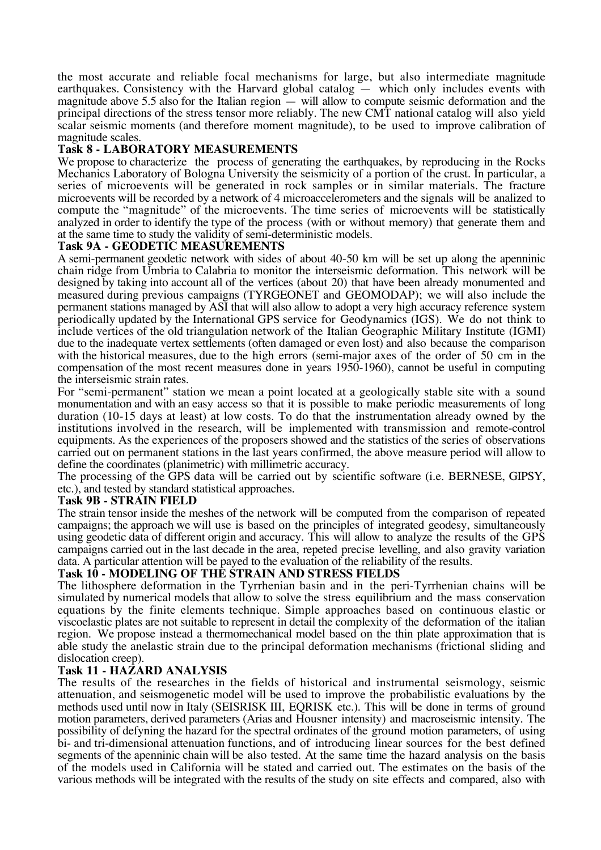the most accurate and reliable focal mechanisms for large, but also intermediate magnitude earthquakes. Consistency with the Harvard global catalog — which only includes events with magnitude above 5.5 also for the Italian region — will allow to compute seismic deformation and the principal directions of the stress tensor more reliably. The new CMT national catalog will also yield scalar seismic moments (and therefore moment magnitude), to be used to improve calibration of magnitude scales.

## **Task 8 - LABORATORY MEASUREMENTS**

We propose to characterize the process of generating the earthquakes, by reproducing in the Rocks Mechanics Laboratory of Bologna University the seismicity of a portion of the crust. In particular, a series of microevents will be generated in rock samples or in similar materials. The fracture microevents will be recorded by a network of 4 microaccelerometers and the signals will be analized to compute the "magnitude" of the microevents. The time series of microevents will be statistically analyzed in order to identify the type of the process (with or without memory) that generate them and at the same time to study the validity of semi-deterministic models.

### **Task 9A - GEODETIC MEASUREMENTS**

A semi-permanent geodetic network with sides of about 40-50 km will be set up along the apenninic chain ridge from Umbria to Calabria to monitor the interseismic deformation. This network will be designed by taking into account all of the vertices (about 20) that have been already monumented and measured during previous campaigns (TYRGEONET and GEOMODAP); we will also include the permanent stations managed by ASI that will also allow to adopt a very high accuracy reference system periodically updated by the International GPS service for Geodynamics (IGS). We do not think to include vertices of the old triangulation network of the Italian Geographic Military Institute (IGMI) due to the inadequate vertex settlements (often damaged or even lost) and also because the comparison with the historical measures, due to the high errors (semi-major axes of the order of 50 cm in the compensation of the most recent measures done in years 1950-1960), cannot be useful in computing the interseismic strain rates.

For "semi-permanent" station we mean a point located at a geologically stable site with a sound monumentation and with an easy access so that it is possible to make periodic measurements of long duration (10-15 days at least) at low costs. To do that the instrumentation already owned by the institutions involved in the research, will be implemented with transmission and remote-control equipments. As the experiences of the proposers showed and the statistics of the series of observations carried out on permanent stations in the last years confirmed, the above measure period will allow to define the coordinates (planimetric) with millimetric accuracy.

The processing of the GPS data will be carried out by scientific software (i.e. BERNESE, GIPSY, etc.), and tested by standard statistical approaches.

### **Task 9B - STRAIN FIELD**

The strain tensor inside the meshes of the network will be computed from the comparison of repeated campaigns; the approach we will use is based on the principles of integrated geodesy, simultaneously using geodetic data of different origin and accuracy. This will allow to analyze the results of the GPS campaigns carried out in the last decade in the area, repeted precise levelling, and also gravity variation data. A particular attention will be payed to the evaluation of the reliability of the results.

### **Task 10 - MODELING OF THE STRAIN AND STRESS FIELDS**

The lithosphere deformation in the Tyrrhenian basin and in the peri-Tyrrhenian chains will be simulated by numerical models that allow to solve the stress equilibrium and the mass conservation equations by the finite elements technique. Simple approaches based on continuous elastic or viscoelastic plates are not suitable to represent in detail the complexity of the deformation of the italian region. We propose instead a thermomechanical model based on the thin plate approximation that is able study the anelastic strain due to the principal deformation mechanisms (frictional sliding and dislocation creep).

### **Task 11 - HAZARD ANALYSIS**

The results of the researches in the fields of historical and instrumental seismology, seismic attenuation, and seismogenetic model will be used to improve the probabilistic evaluations by the methods used until now in Italy (SEISRISK III, EQRISK etc.). This will be done in terms of ground motion parameters, derived parameters (Arias and Housner intensity) and macroseismic intensity. The possibility of defyning the hazard for the spectral ordinates of the ground motion parameters, of using bi- and tri-dimensional attenuation functions, and of introducing linear sources for the best defined segments of the apenninic chain will be also tested. At the same time the hazard analysis on the basis of the models used in California will be stated and carried out. The estimates on the basis of the various methods will be integrated with the results of the study on site effects and compared, also with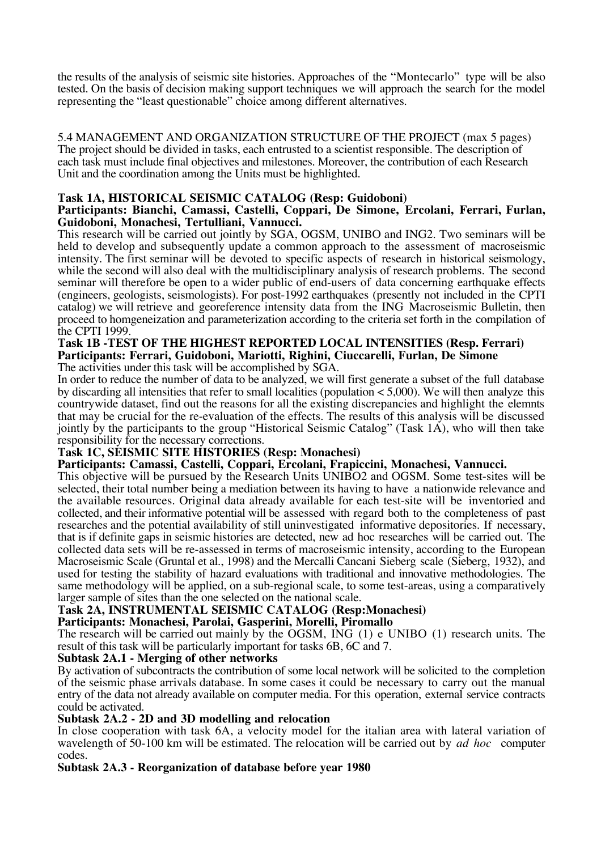the results of the analysis of seismic site histories. Approaches of the "Montecarlo" type will be also tested. On the basis of decision making support techniques we will approach the search for the model representing the "least questionable" choice among different alternatives.

5.4 MANAGEMENT AND ORGANIZATION STRUCTURE OF THE PROJECT (max 5 pages) The project should be divided in tasks, each entrusted to a scientist responsible. The description of each task must include final objectives and milestones. Moreover, the contribution of each Research Unit and the coordination among the Units must be highlighted.

## **Task 1A, HISTORICAL SEISMIC CATALOG (Resp: Guidoboni)**

#### **Participants: Bianchi, Camassi, Castelli, Coppari, De Simone, Ercolani, Ferrari, Furlan, Guidoboni, Monachesi, Tertulliani, Vannucci.**

This research will be carried out jointly by SGA, OGSM, UNIBO and ING2. Two seminars will be held to develop and subsequently update a common approach to the assessment of macroseismic intensity. The first seminar will be devoted to specific aspects of research in historical seismology, while the second will also deal with the multidisciplinary analysis of research problems. The second seminar will therefore be open to a wider public of end-users of data concerning earthquake effects (engineers, geologists, seismologists). For post-1992 earthquakes (presently not included in the CPTI catalog) we will retrieve and georeference intensity data from the ING Macroseismic Bulletin, then proceed to homgeneization and parameterization according to the criteria set forth in the compilation of the CPTI 1999.

# **Task 1B -TEST OF THE HIGHEST REPORTED LOCAL INTENSITIES (Resp. Ferrari) Participants: Ferrari, Guidoboni, Mariotti, Righini, Ciuccarelli, Furlan, De Simone**

The activities under this task will be accomplished by SGA.

In order to reduce the number of data to be analyzed, we will first generate a subset of the full database by discarding all intensities that refer to small localities (population < 5,000). We will then analyze this countrywide dataset, find out the reasons for all the existing discrepancies and highlight the elemnts that may be crucial for the re-evaluation of the effects. The results of this analysis will be discussed jointly by the participants to the group "Historical Seismic Catalog" (Task 1A), who will then take responsibility for the necessary corrections.

### **Task 1C, SEISMIC SITE HISTORIES (Resp: Monachesi)**

## **Participants: Camassi, Castelli, Coppari, Ercolani, Frapiccini, Monachesi, Vannucci.**

This objective will be pursued by the Research Units UNIBO2 and OGSM. Some test-sites will be selected, their total number being a mediation between its having to have a nationwide relevance and the available resources. Original data already available for each test-site will be inventoried and collected, and their informative potential will be assessed with regard both to the completeness of past researches and the potential availability of still uninvestigated informative depositories. If necessary, that is if definite gaps in seismic histories are detected, new ad hoc researches will be carried out. The collected data sets will be re-assessed in terms of macroseismic intensity, according to the European Macroseismic Scale (Gruntal et al., 1998) and the Mercalli Cancani Sieberg scale (Sieberg, 1932), and used for testing the stability of hazard evaluations with traditional and innovative methodologies. The same methodology will be applied, on a sub-regional scale, to some test-areas, using a comparatively larger sample of sites than the one selected on the national scale.

## **Task 2A, INSTRUMENTAL SEISMIC CATALOG (Resp:Monachesi)**

### **Participants: Monachesi, Parolai, Gasperini, Morelli, Piromallo**

The research will be carried out mainly by the OGSM, ING (1) e UNIBO (1) research units. The result of this task will be particularly important for tasks 6B, 6C and 7.

### **Subtask 2A.1 - Merging of other networks**

By activation of subcontracts the contribution of some local network will be solicited to the completion of the seismic phase arrivals database. In some cases it could be necessary to carry out the manual entry of the data not already available on computer media. For this operation, external service contracts could be activated.

### **Subtask 2A.2 - 2D and 3D modelling and relocation**

In close cooperation with task 6A, a velocity model for the italian area with lateral variation of wavelength of 50-100 km will be estimated. The relocation will be carried out by *ad hoc* computer codes.

### **Subtask 2A.3 - Reorganization of database before year 1980**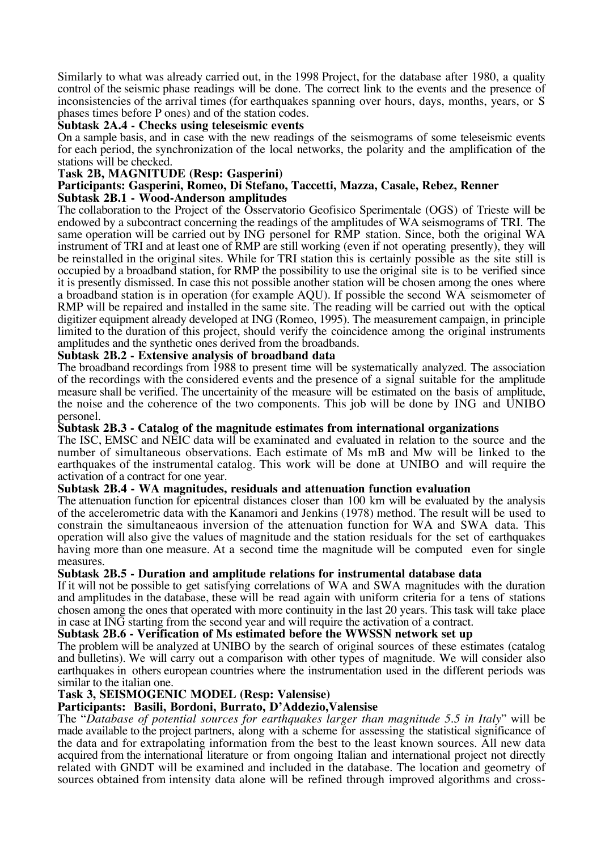Similarly to what was already carried out, in the 1998 Project, for the database after 1980, a quality control of the seismic phase readings will be done. The correct link to the events and the presence of inconsistencies of the arrival times (for earthquakes spanning over hours, days, months, years, or S phases times before P ones) and of the station codes.

### **Subtask 2A.4 - Checks using teleseismic events**

On a sample basis, and in case with the new readings of the seismograms of some teleseismic events for each period, the synchronization of the local networks, the polarity and the amplification of the stations will be checked.

### **Task 2B, MAGNITUDE (Resp: Gasperini)**

### **Participants: Gasperini, Romeo, Di Stefano, Taccetti, Mazza, Casale, Rebez, Renner Subtask 2B.1 - Wood-Anderson amplitudes**

The collaboration to the Project of the Osservatorio Geofisico Sperimentale (OGS) of Trieste will be endowed by a subcontract concerning the readings of the amplitudes of WA seismograms of TRI. The same operation will be carried out by ING personel for RMP station. Since, both the original WA instrument of TRI and at least one of RMP are still working (even if not operating presently), they will be reinstalled in the original sites. While for TRI station this is certainly possible as the site still is occupied by a broadband station, for RMP the possibility to use the original site is to be verified since it is presently dismissed. In case this not possible another station will be chosen among the ones where a broadband station is in operation (for example AQU). If possible the second WA seismometer of RMP will be repaired and installed in the same site. The reading will be carried out with the optical digitizer equipment already developed at ING (Romeo, 1995). The measurement campaign, in principle limited to the duration of this project, should verify the coincidence among the original instruments amplitudes and the synthetic ones derived from the broadbands.

### **Subtask 2B.2 - Extensive analysis of broadband data**

The broadband recordings from 1988 to present time will be systematically analyzed. The association of the recordings with the considered events and the presence of a signal suitable for the amplitude measure shall be verified. The uncertainity of the measure will be estimated on the basis of amplitude, the noise and the coherence of the two components. This job will be done by ING and UNIBO personel.

## **Subtask 2B.3 - Catalog of the magnitude estimates from international organizations**

The ISC, EMSC and NEIC data will be examinated and evaluated in relation to the source and the number of simultaneous observations. Each estimate of Ms mB and Mw will be linked to the earthquakes of the instrumental catalog. This work will be done at UNIBO and will require the activation of a contract for one year.

### **Subtask 2B.4 - WA magnitudes, residuals and attenuation function evaluation**

The attenuation function for epicentral distances closer than 100 km will be evaluated by the analysis of the accelerometric data with the Kanamori and Jenkins (1978) method. The result will be used to constrain the simultaneaous inversion of the attenuation function for WA and SWA data. This operation will also give the values of magnitude and the station residuals for the set of earthquakes having more than one measure. At a second time the magnitude will be computed even for single measures.

### **Subtask 2B.5 - Duration and amplitude relations for instrumental database data**

If it will not be possible to get satisfying correlations of WA and SWA magnitudes with the duration and amplitudes in the database, these will be read again with uniform criteria for a tens of stations chosen among the ones that operated with more continuity in the last 20 years. This task will take place in case at ING starting from the second year and will require the activation of a contract.

### **Subtask 2B.6 - Verification of Ms estimated before the WWSSN network set up**

The problem will be analyzed at UNIBO by the search of original sources of these estimates (catalog and bulletins). We will carry out a comparison with other types of magnitude. We will consider also earthquakes in others european countries where the instrumentation used in the different periods was similar to the italian one.

### **Task 3, SEISMOGENIC MODEL (Resp: Valensise)**

### **Participants: Basili, Bordoni, Burrato, D'Addezio,Valensise**

The "*Database of potential sources for earthquakes larger than magnitude 5.5 in Italy*" will be made available to the project partners, along with a scheme for assessing the statistical significance of the data and for extrapolating information from the best to the least known sources. All new data acquired from the international literature or from ongoing Italian and international project not directly related with GNDT will be examined and included in the database. The location and geometry of sources obtained from intensity data alone will be refined through improved algorithms and cross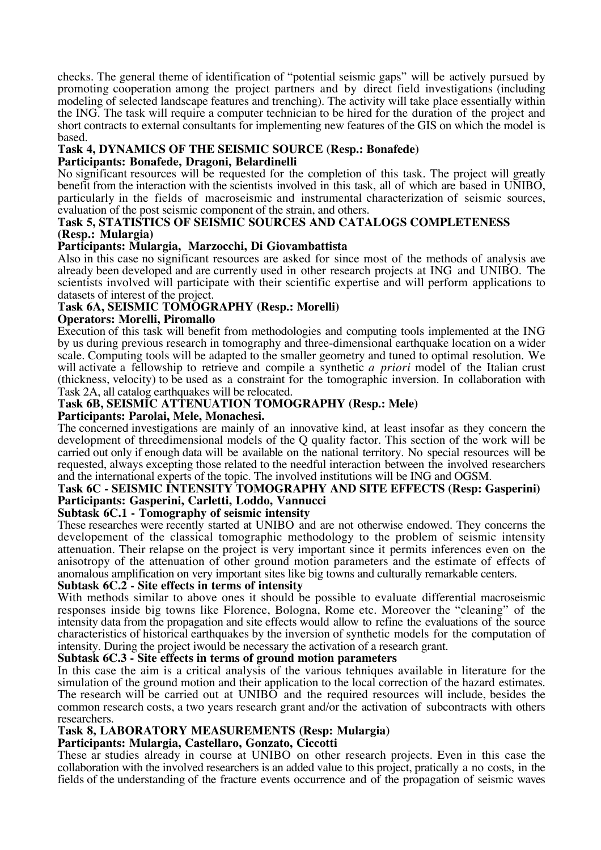checks. The general theme of identification of "potential seismic gaps" will be actively pursued by promoting cooperation among the project partners and by direct field investigations (including modeling of selected landscape features and trenching). The activity will take place essentially within the ING. The task will require a computer technician to be hired for the duration of the project and short contracts to external consultants for implementing new features of the GIS on which the model is based.

### **Task 4, DYNAMICS OF THE SEISMIC SOURCE (Resp.: Bonafede)**

### **Participants: Bonafede, Dragoni, Belardinelli**

No significant resources will be requested for the completion of this task. The project will greatly benefit from the interaction with the scientists involved in this task, all of which are based in UNIBO, particularly in the fields of macroseismic and instrumental characterization of seismic sources, evaluation of the post seismic component of the strain, and others.

### **Task 5, STATISTICS OF SEISMIC SOURCES AND CATALOGS COMPLETENESS (Resp.: Mulargia)**

### **Participants: Mulargia, Marzocchi, Di Giovambattista**

Also in this case no significant resources are asked for since most of the methods of analysis ave already been developed and are currently used in other research projects at ING and UNIBO. The scientists involved will participate with their scientific expertise and will perform applications to datasets of interest of the project.

### **Task 6A, SEISMIC TOMOGRAPHY (Resp.: Morelli)**

### **Operators: Morelli, Piromallo**

Execution of this task will benefit from methodologies and computing tools implemented at the ING by us during previous research in tomography and three-dimensional earthquake location on a wider scale. Computing tools will be adapted to the smaller geometry and tuned to optimal resolution. We will activate a fellowship to retrieve and compile a synthetic *a priori* model of the Italian crust (thickness, velocity) to be used as a constraint for the tomographic inversion. In collaboration with Task 2A, all catalog earthquakes will be relocated.

### **Task 6B, SEISMIC ATTENUATION TOMOGRAPHY (Resp.: Mele)**

### **Participants: Parolai, Mele, Monachesi.**

The concerned investigations are mainly of an innovative kind, at least insofar as they concern the development of threedimensional models of the Q quality factor. This section of the work will be carried out only if enough data will be available on the national territory. No special resources will be requested, always excepting those related to the needful interaction between the involved researchers and the international experts of the topic. The involved institutions will be ING and OGSM.

#### **Task 6C - SEISMIC INTENSITY TOMOGRAPHY AND SITE EFFECTS (Resp: Gasperini) Participants: Gasperini, Carletti, Loddo, Vannucci**

#### **Subtask 6C.1 - Tomography of seismic intensity**

These researches were recently started at UNIBO and are not otherwise endowed. They concerns the developement of the classical tomographic methodology to the problem of seismic intensity attenuation. Their relapse on the project is very important since it permits inferences even on the anisotropy of the attenuation of other ground motion parameters and the estimate of effects of anomalous amplification on very important sites like big towns and culturally remarkable centers.

#### **Subtask 6C.2 - Site effects in terms of intensity**

With methods similar to above ones it should be possible to evaluate differential macroseismic responses inside big towns like Florence, Bologna, Rome etc. Moreover the "cleaning" of the intensity data from the propagation and site effects would allow to refine the evaluations of the source characteristics of historical earthquakes by the inversion of synthetic models for the computation of intensity. During the project iwould be necessary the activation of a research grant.

#### **Subtask 6C.3 - Site effects in terms of ground motion parameters**

In this case the aim is a critical analysis of the various tehniques available in literature for the simulation of the ground motion and their application to the local correction of the hazard estimates. The research will be carried out at UNIBO and the required resources will include, besides the common research costs, a two years research grant and/or the activation of subcontracts with others researchers.

#### **Task 8, LABORATORY MEASUREMENTS (Resp: Mulargia)**

### **Participants: Mulargia, Castellaro, Gonzato, Ciccotti**

These ar studies already in course at UNIBO on other research projects. Even in this case the collaboration with the involved researchers is an added value to this project, pratically a no costs, in the fields of the understanding of the fracture events occurrence and of the propagation of seismic waves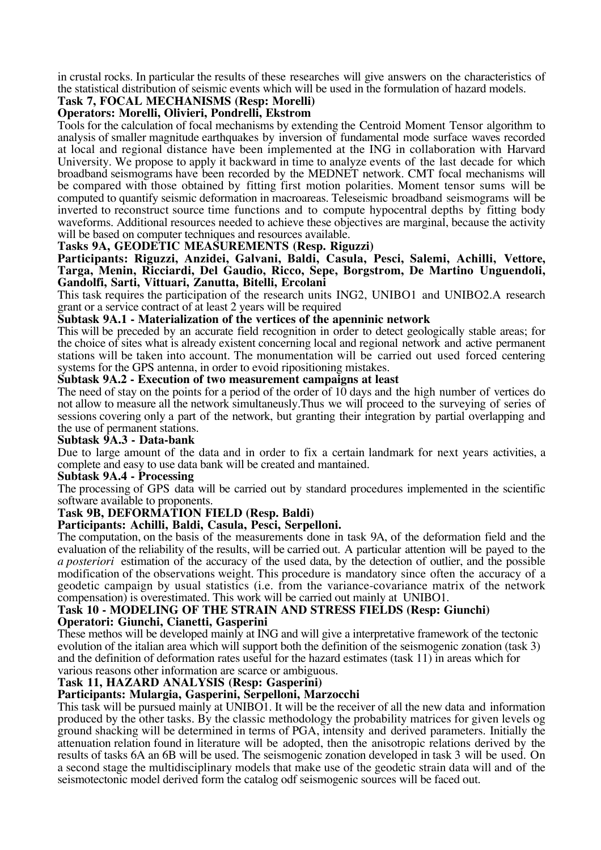in crustal rocks. In particular the results of these researches will give answers on the characteristics of the statistical distribution of seismic events which will be used in the formulation of hazard models.

## **Task 7, FOCAL MECHANISMS (Resp: Morelli)**

#### **Operators: Morelli, Olivieri, Pondrelli, Ekstrom**

Tools for the calculation of focal mechanisms by extending the Centroid Moment Tensor algorithm to analysis of smaller magnitude earthquakes by inversion of fundamental mode surface waves recorded at local and regional distance have been implemented at the ING in collaboration with Harvard University. We propose to apply it backward in time to analyze events of the last decade for which broadband seismograms have been recorded by the MEDNET network. CMT focal mechanisms will be compared with those obtained by fitting first motion polarities. Moment tensor sums will be computed to quantify seismic deformation in macroareas. Teleseismic broadband seismograms will be inverted to reconstruct source time functions and to compute hypocentral depths by fitting body waveforms. Additional resources needed to achieve these objectives are marginal, because the activity will be based on computer techniques and resources available.

### **Tasks 9A, GEODETIC MEASUREMENTS (Resp. Riguzzi)**

**Participants: Riguzzi, Anzidei, Galvani, Baldi, Casula, Pesci, Salemi, Achilli, Vettore, Targa, Menin, Ricciardi, Del Gaudio, Ricco, Sepe, Borgstrom, De Martino Unguendoli, Gandolfi, Sarti, Vittuari, Zanutta, Bitelli, Ercolani**

This task requires the participation of the research units ING2, UNIBO1 and UNIBO2.A research grant or a service contract of at least 2 years will be required

#### **Subtask 9A.1 - Materialization of the vertices of the apenninic network**

This will be preceded by an accurate field recognition in order to detect geologically stable areas; for the choice of sites what is already existent concerning local and regional network and active permanent stations will be taken into account. The monumentation will be carried out used forced centering systems for the GPS antenna, in order to evoid ripositioning mistakes.

#### **Subtask 9A.2 - Execution of two measurement campaigns at least**

The need of stay on the points for a period of the order of 10 days and the high number of vertices do not allow to measure all the network simultaneusly.Thus we will proceed to the surveying of series of sessions covering only a part of the network, but granting their integration by partial overlapping and the use of permanent stations.

#### **Subtask 9A.3 - Data-bank**

Due to large amount of the data and in order to fix a certain landmark for next years activities, a complete and easy to use data bank will be created and mantained.

#### **Subtask 9A.4 - Processing**

The processing of GPS data will be carried out by standard procedures implemented in the scientific software available to proponents.

### **Task 9B, DEFORMATION FIELD (Resp. Baldi)**

#### **Participants: Achilli, Baldi, Casula, Pesci, Serpelloni.**

The computation, on the basis of the measurements done in task 9A, of the deformation field and the evaluation of the reliability of the results, will be carried out. A particular attention will be payed to the *a posteriori* estimation of the accuracy of the used data, by the detection of outlier, and the possible modification of the observations weight. This procedure is mandatory since often the accuracy of a geodetic campaign by usual statistics (i.e. from the variance-covariance matrix of the network compensation) is overestimated. This work will be carried out mainly at UNIBO1.

#### **Task 10 - MODELING OF THE STRAIN AND STRESS FIELDS (Resp: Giunchi) Operatori: Giunchi, Cianetti, Gasperini**

These methos will be developed mainly at ING and will give a interpretative framework of the tectonic evolution of the italian area which will support both the definition of the seismogenic zonation (task 3) and the definition of deformation rates useful for the hazard estimates (task 11) in areas which for various reasons other information are scarce or ambiguous.

### **Task 11, HAZARD ANALYSIS (Resp: Gasperini)**

## **Participants: Mulargia, Gasperini, Serpelloni, Marzocchi**

This task will be pursued mainly at UNIBO1. It will be the receiver of all the new data and information produced by the other tasks. By the classic methodology the probability matrices for given levels og ground shacking will be determined in terms of PGA, intensity and derived parameters. Initially the attenuation relation found in literature will be adopted, then the anisotropic relations derived by the results of tasks 6A an 6B will be used. The seismogenic zonation developed in task 3 will be used. On a second stage the multidisciplinary models that make use of the geodetic strain data will and of the seismotectonic model derived form the catalog odf seismogenic sources will be faced out.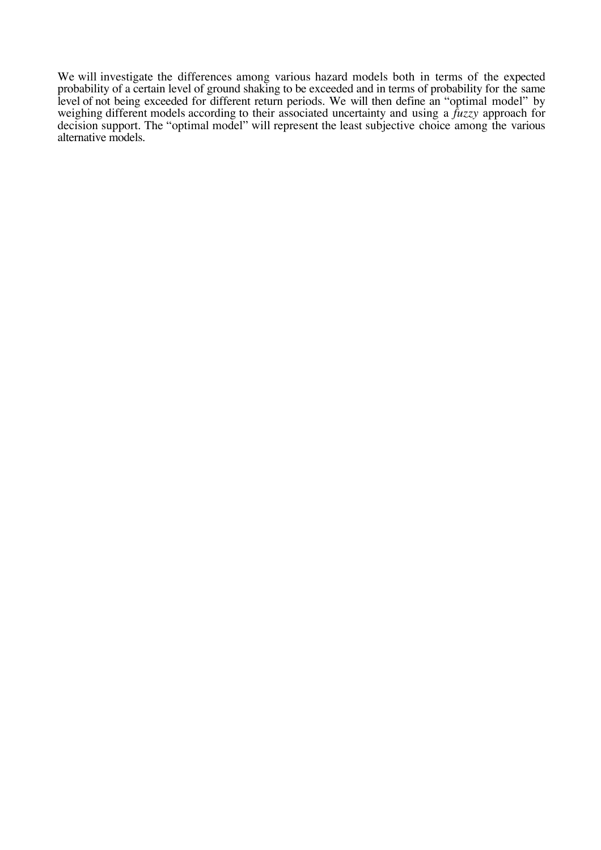We will investigate the differences among various hazard models both in terms of the expected probability of a certain level of ground shaking to be exceeded and in terms of probability for the same level of not being exceeded for different return periods. We will then define an "optimal model" by weighing different models according to their associated uncertainty and using a *fuzzy* approach for decision support. The "optimal model" will represent the least subjective choice among the various alternative models.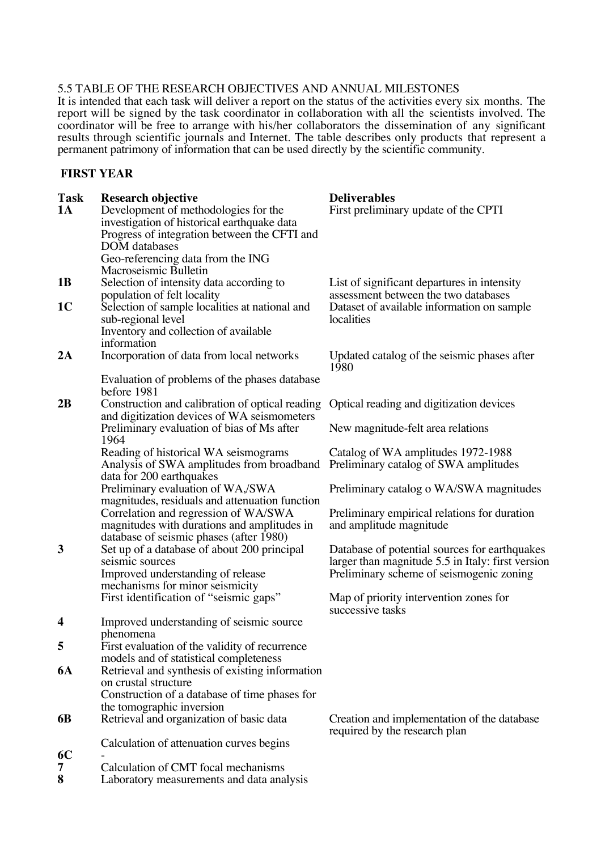### 5.5 TABLE OF THE RESEARCH OBJECTIVES AND ANNUAL MILESTONES

It is intended that each task will deliver a report on the status of the activities every six months. The report will be signed by the task coordinator in collaboration with all the scientists involved. The coordinator will be free to arrange with his/her collaborators the dissemination of any significant results through scientific journals and Internet. The table describes only products that represent a permanent patrimony of information that can be used directly by the scientific community.

## **FIRST YEAR**

| <b>Task</b>    | <b>Research objective</b>                                                         | <b>Deliverables</b>                                                                |
|----------------|-----------------------------------------------------------------------------------|------------------------------------------------------------------------------------|
| <b>1A</b>      | Development of methodologies for the                                              | First preliminary update of the CPTI                                               |
|                | investigation of historical earthquake data                                       |                                                                                    |
|                | Progress of integration between the CFTI and                                      |                                                                                    |
|                | <b>DOM</b> databases                                                              |                                                                                    |
|                | Geo-referencing data from the ING                                                 |                                                                                    |
|                | Macroseismic Bulletin                                                             |                                                                                    |
| 1B             | Selection of intensity data according to                                          | List of significant departures in intensity                                        |
| 1 <sub>C</sub> | population of felt locality                                                       | assessment between the two databases<br>Dataset of available information on sample |
|                | Selection of sample localities at national and<br>sub-regional level              | localities                                                                         |
|                | Inventory and collection of available                                             |                                                                                    |
|                | information                                                                       |                                                                                    |
| 2A             | Incorporation of data from local networks                                         | Updated catalog of the seismic phases after                                        |
|                |                                                                                   | 1980                                                                               |
|                | Evaluation of problems of the phases database                                     |                                                                                    |
|                | before 1981                                                                       |                                                                                    |
| 2B             | Construction and calibration of optical reading                                   | Optical reading and digitization devices                                           |
|                | and digitization devices of WA seismometers                                       |                                                                                    |
|                | Preliminary evaluation of bias of Ms after                                        | New magnitude-felt area relations                                                  |
|                | 1964                                                                              |                                                                                    |
|                | Reading of historical WA seismograms<br>Analysis of SWA amplitudes from broadband | Catalog of WA amplitudes 1972-1988<br>Preliminary catalog of SWA amplitudes        |
|                | data for 200 earthquakes                                                          |                                                                                    |
|                | Preliminary evaluation of WA,/SWA                                                 | Preliminary catalog o WA/SWA magnitudes                                            |
|                | magnitudes, residuals and attenuation function                                    |                                                                                    |
|                | Correlation and regression of WA/SWA                                              | Preliminary empirical relations for duration                                       |
|                | magnitudes with durations and amplitudes in                                       | and amplitude magnitude                                                            |
|                | database of seismic phases (after 1980)                                           |                                                                                    |
| 3              | Set up of a database of about 200 principal                                       | Database of potential sources for earthquakes                                      |
|                | seismic sources                                                                   | larger than magnitude 5.5 in Italy: first version                                  |
|                | Improved understanding of release                                                 | Preliminary scheme of seismogenic zoning                                           |
|                | mechanisms for minor seismicity<br>First identification of "seismic gaps"         | Map of priority intervention zones for                                             |
|                |                                                                                   | successive tasks                                                                   |
| 4              | Improved understanding of seismic source                                          |                                                                                    |
|                | phenomena                                                                         |                                                                                    |
| ວ              | First evaluation of the validity of recurrence                                    |                                                                                    |
|                | models and of statistical completeness                                            |                                                                                    |
| <b>6A</b>      | Retrieval and synthesis of existing information                                   |                                                                                    |
|                | on crustal structure                                                              |                                                                                    |
|                | Construction of a database of time phases for                                     |                                                                                    |
|                | the tomographic inversion                                                         |                                                                                    |
| 6B             | Retrieval and organization of basic data                                          | Creation and implementation of the database                                        |
|                | Calculation of attenuation curves begins                                          | required by the research plan                                                      |
| <b>6C</b>      |                                                                                   |                                                                                    |
| 7              | Calculation of CMT focal mechanisms                                               |                                                                                    |
| 8              | Laboratory measurements and data analysis                                         |                                                                                    |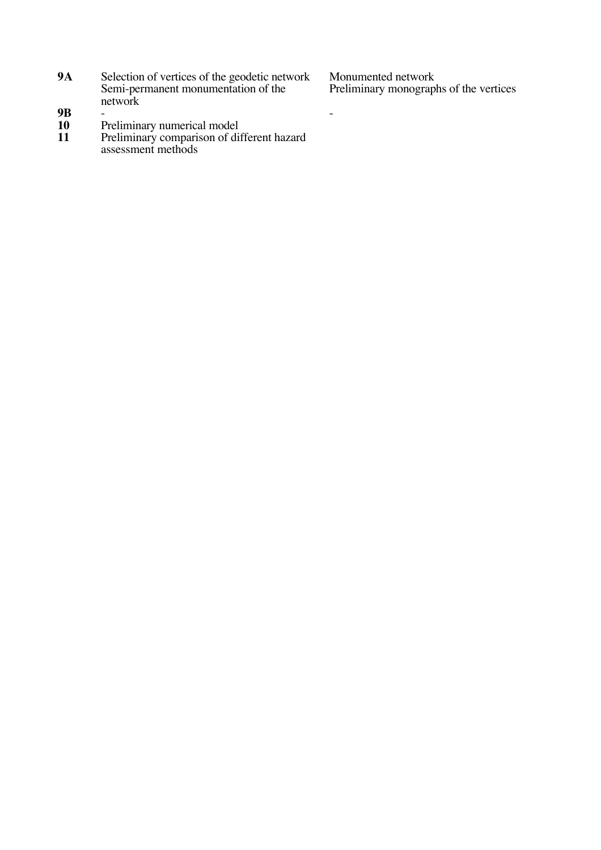- **9A** Selection of vertices of the geodetic network Monumented network Semi-permanent monumentation of the network
- **9B** -
- **10** Preliminary numerical model
- **11** Preliminary comparison of different hazard assessment methods

Preliminary monographs of the vertices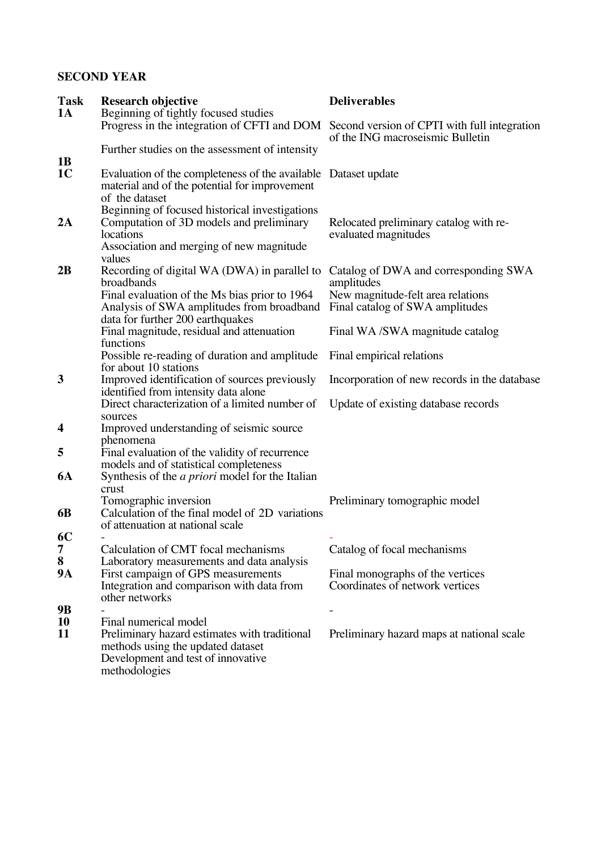# **SECOND YEAR**

| <b>Task</b>          | <b>Research objective</b>                                                                                                                 | <b>Deliverables</b>                                                  |
|----------------------|-------------------------------------------------------------------------------------------------------------------------------------------|----------------------------------------------------------------------|
| <b>1A</b>            | Beginning of tightly focused studies<br>Progress in the integration of CFTI and DOM Second version of CPTI with full integration          | of the ING macroseismic Bulletin                                     |
|                      | Further studies on the assessment of intensity                                                                                            |                                                                      |
| 1B<br>1 <sub>C</sub> | Evaluation of the completeness of the available Dataset update<br>material and of the potential for improvement<br>of the dataset         |                                                                      |
|                      | Beginning of focused historical investigations                                                                                            |                                                                      |
| 2A                   | Computation of 3D models and preliminary<br>locations                                                                                     | Relocated preliminary catalog with re-<br>evaluated magnitudes       |
|                      | Association and merging of new magnitude<br>values                                                                                        |                                                                      |
| 2B                   | Recording of digital WA (DWA) in parallel to<br>broadbands                                                                                | Catalog of DWA and corresponding SWA<br>amplitudes                   |
|                      | Final evaluation of the Ms bias prior to 1964<br>Analysis of SWA amplitudes from broadband<br>data for further 200 earthquakes            | New magnitude-felt area relations<br>Final catalog of SWA amplitudes |
|                      | Final magnitude, residual and attenuation<br>functions                                                                                    | Final WA /SWA magnitude catalog                                      |
|                      | Possible re-reading of duration and amplitude<br>for about 10 stations                                                                    | Final empirical relations                                            |
| 3                    | Improved identification of sources previously<br>identified from intensity data alone                                                     | Incorporation of new records in the database                         |
|                      | Direct characterization of a limited number of<br>sources                                                                                 | Update of existing database records                                  |
| 4                    | Improved understanding of seismic source<br>phenomena                                                                                     |                                                                      |
| 5                    | Final evaluation of the validity of recurrence<br>models and of statistical completeness                                                  |                                                                      |
| <b>6A</b>            | Synthesis of the <i>a priori</i> model for the Italian<br>crust                                                                           |                                                                      |
| 6B                   | Tomographic inversion<br>Calculation of the final model of 2D variations<br>of attenuation at national scale                              | Preliminary tomographic model                                        |
| <b>6C</b><br>7       | Calculation of CMT focal mechanisms                                                                                                       | Catalog of focal mechanisms                                          |
| $\bf{8}$             | Laboratory measurements and data analysis                                                                                                 |                                                                      |
| <b>9A</b>            | First campaign of GPS measurements<br>Integration and comparison with data from<br>other networks                                         | Final monographs of the vertices<br>Coordinates of network vertices  |
| 9B                   |                                                                                                                                           |                                                                      |
| 10                   | Final numerical model                                                                                                                     |                                                                      |
| 11                   | Preliminary hazard estimates with traditional<br>methods using the updated dataset<br>Development and test of innovative<br>methodologies | Preliminary hazard maps at national scale                            |